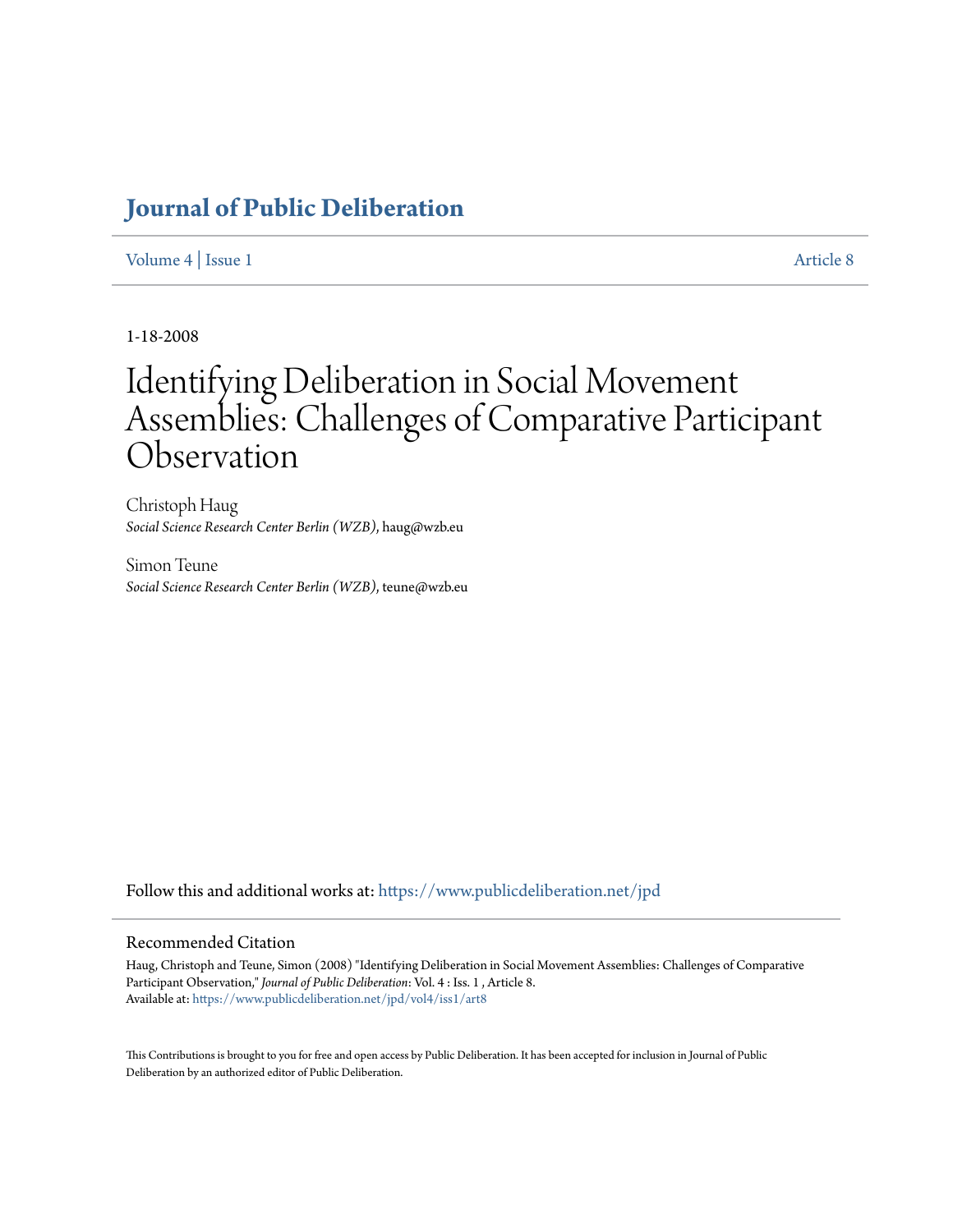# **[Journal of Public Deliberation](https://www.publicdeliberation.net/jpd?utm_source=www.publicdeliberation.net%2Fjpd%2Fvol4%2Fiss1%2Fart8&utm_medium=PDF&utm_campaign=PDFCoverPages)**

# [Volume 4](https://www.publicdeliberation.net/jpd/vol4?utm_source=www.publicdeliberation.net%2Fjpd%2Fvol4%2Fiss1%2Fart8&utm_medium=PDF&utm_campaign=PDFCoverPages) | [Issue 1](https://www.publicdeliberation.net/jpd/vol4/iss1?utm_source=www.publicdeliberation.net%2Fjpd%2Fvol4%2Fiss1%2Fart8&utm_medium=PDF&utm_campaign=PDFCoverPages) [Article 8](https://www.publicdeliberation.net/jpd/vol4/iss1/art8?utm_source=www.publicdeliberation.net%2Fjpd%2Fvol4%2Fiss1%2Fart8&utm_medium=PDF&utm_campaign=PDFCoverPages)

1-18-2008

# Identifying Deliberation in Social Movement Assemblies: Challenges of Comparative Participant Observation

Christoph Haug *Social Science Research Center Berlin (WZB)*, haug@wzb.eu

Simon Teune *Social Science Research Center Berlin (WZB)*, teune@wzb.eu

Follow this and additional works at: [https://www.publicdeliberation.net/jpd](https://www.publicdeliberation.net/jpd?utm_source=www.publicdeliberation.net%2Fjpd%2Fvol4%2Fiss1%2Fart8&utm_medium=PDF&utm_campaign=PDFCoverPages)

#### Recommended Citation

Haug, Christoph and Teune, Simon (2008) "Identifying Deliberation in Social Movement Assemblies: Challenges of Comparative Participant Observation," *Journal of Public Deliberation*: Vol. 4 : Iss. 1 , Article 8. Available at: [https://www.publicdeliberation.net/jpd/vol4/iss1/art8](https://www.publicdeliberation.net/jpd/vol4/iss1/art8?utm_source=www.publicdeliberation.net%2Fjpd%2Fvol4%2Fiss1%2Fart8&utm_medium=PDF&utm_campaign=PDFCoverPages)

This Contributions is brought to you for free and open access by Public Deliberation. It has been accepted for inclusion in Journal of Public Deliberation by an authorized editor of Public Deliberation.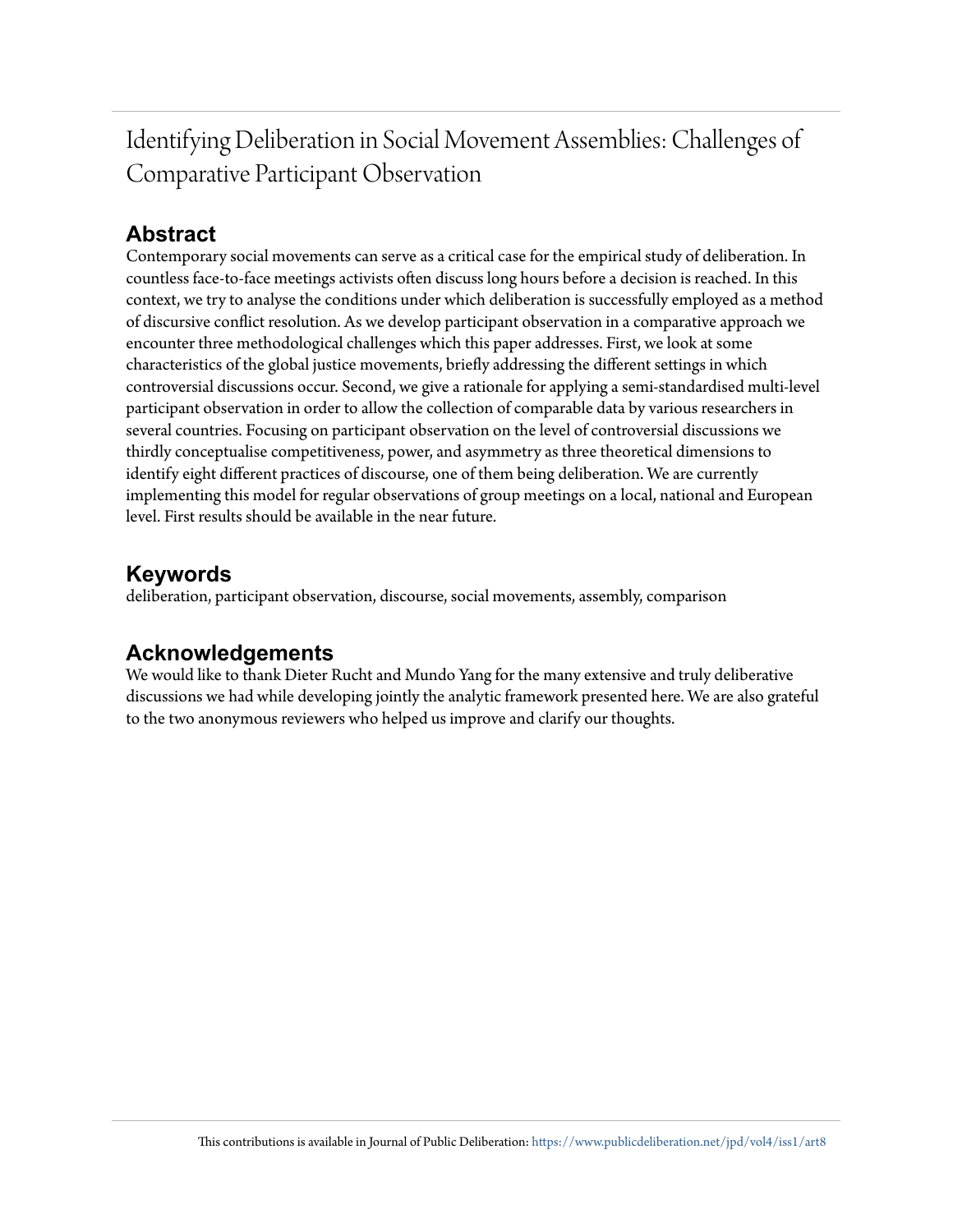Identifying Deliberation in Social Movement Assemblies: Challenges of Comparative Participant Observation

# **Abstract**

Contemporary social movements can serve as a critical case for the empirical study of deliberation. In countless face-to-face meetings activists often discuss long hours before a decision is reached. In this context, we try to analyse the conditions under which deliberation is successfully employed as a method of discursive conflict resolution. As we develop participant observation in a comparative approach we encounter three methodological challenges which this paper addresses. First, we look at some characteristics of the global justice movements, briefly addressing the different settings in which controversial discussions occur. Second, we give a rationale for applying a semi-standardised multi-level participant observation in order to allow the collection of comparable data by various researchers in several countries. Focusing on participant observation on the level of controversial discussions we thirdly conceptualise competitiveness, power, and asymmetry as three theoretical dimensions to identify eight different practices of discourse, one of them being deliberation. We are currently implementing this model for regular observations of group meetings on a local, national and European level. First results should be available in the near future.

# **Keywords**

deliberation, participant observation, discourse, social movements, assembly, comparison

# **Acknowledgements**

We would like to thank Dieter Rucht and Mundo Yang for the many extensive and truly deliberative discussions we had while developing jointly the analytic framework presented here. We are also grateful to the two anonymous reviewers who helped us improve and clarify our thoughts.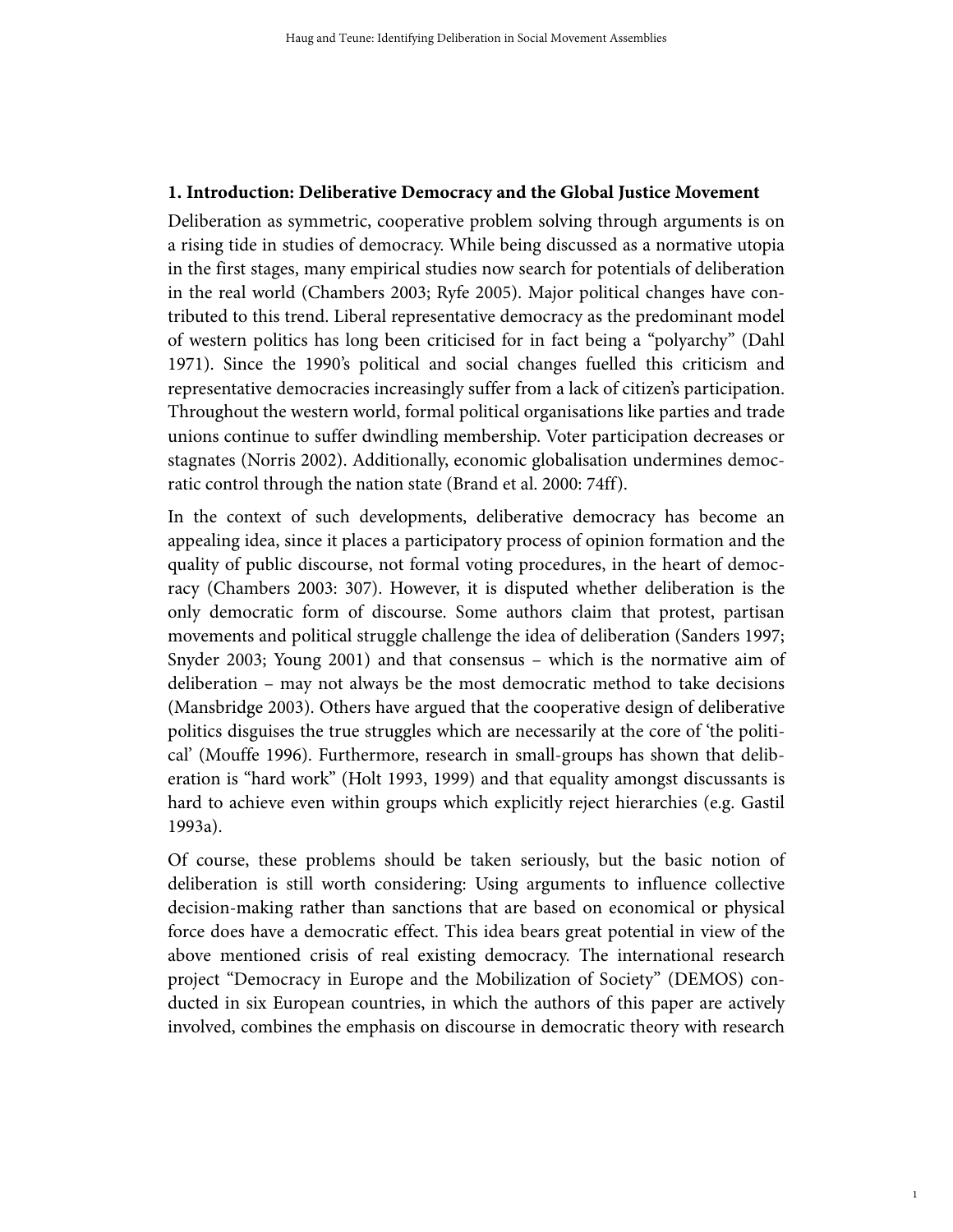# **1. Introduction: Deliberative Democracy and the Global Justice Movement**

Deliberation as symmetric, cooperative problem solving through arguments is on a rising tide in studies of democracy. While being discussed as a normative utopia in the first stages, many empirical studies now search for potentials of deliberation in the real world (Chambers 2003; Ryfe 2005). Major political changes have contributed to this trend. Liberal representative democracy as the predominant model of western politics has long been criticised for in fact being a "polyarchy" (Dahl 1971). Since the 1990's political and social changes fuelled this criticism and representative democracies increasingly suffer from a lack of citizen's participation. Throughout the western world, formal political organisations like parties and trade unions continue to suffer dwindling membership. Voter participation decreases or stagnates (Norris 2002). Additionally, economic globalisation undermines democratic control through the nation state (Brand et al. 2000: 74ff).

In the context of such developments, deliberative democracy has become an appealing idea, since it places a participatory process of opinion formation and the quality of public discourse, not formal voting procedures, in the heart of democracy (Chambers 2003: 307). However, it is disputed whether deliberation is the only democratic form of discourse. Some authors claim that protest, partisan movements and political struggle challenge the idea of deliberation (Sanders 1997; Snyder 2003; Young 2001) and that consensus – which is the normative aim of deliberation – may not always be the most democratic method to take decisions (Mansbridge 2003). Others have argued that the cooperative design of deliberative politics disguises the true struggles which are necessarily at the core of 'the political' (Mouffe 1996). Furthermore, research in small-groups has shown that deliberation is "hard work" (Holt 1993, 1999) and that equality amongst discussants is hard to achieve even within groups which explicitly reject hierarchies (e.g. Gastil 1993a).

Of course, these problems should be taken seriously, but the basic notion of deliberation is still worth considering: Using arguments to influence collective decision-making rather than sanctions that are based on economical or physical force does have a democratic effect. This idea bears great potential in view of the above mentioned crisis of real existing democracy. The international research project "Democracy in Europe and the Mobilization of Society" (DEMOS) conducted in six European countries, in which the authors of this paper are actively involved, combines the emphasis on discourse in democratic theory with research

1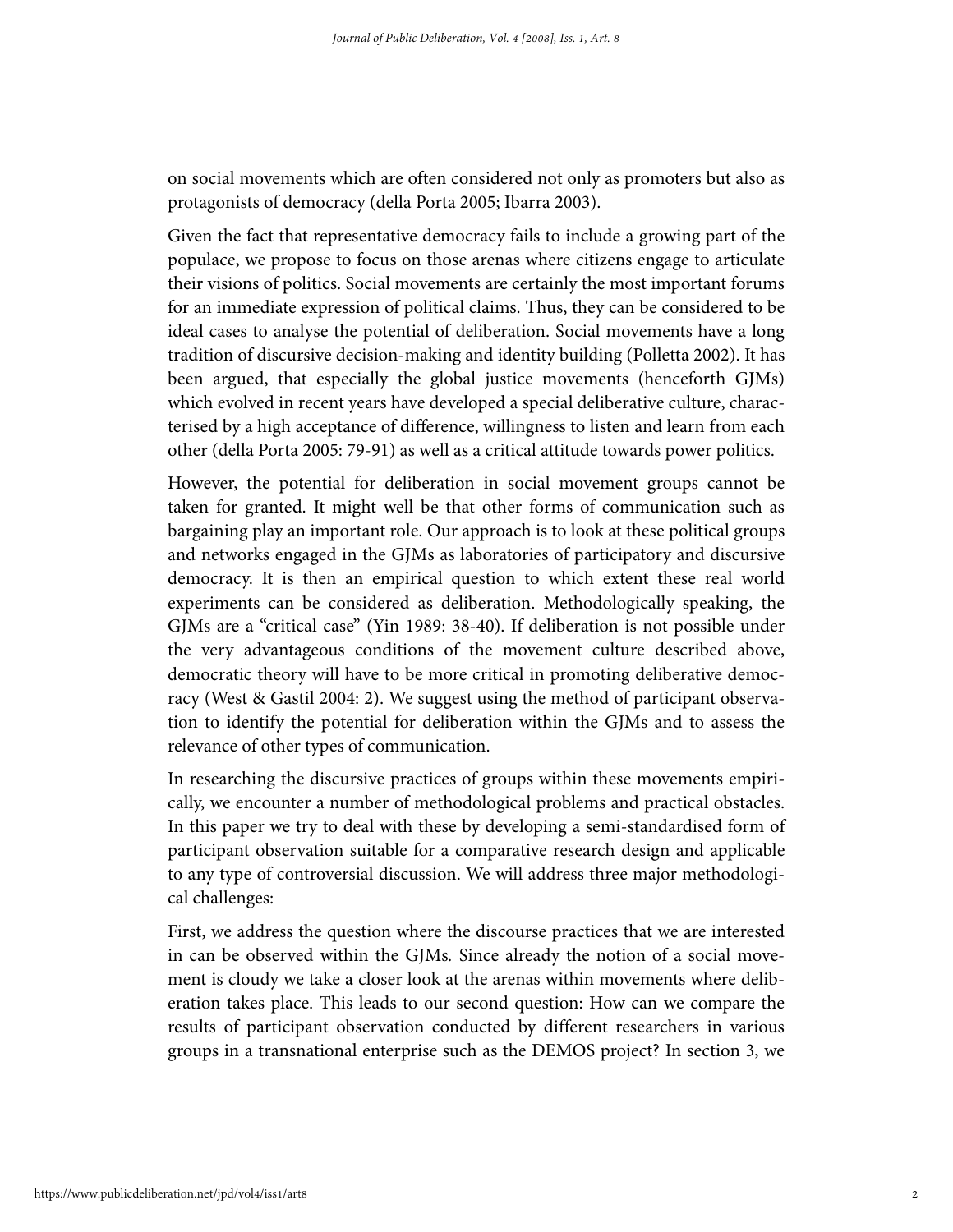on social movements which are often considered not only as promoters but also as protagonists of democracy (della Porta 2005; Ibarra 2003).

Given the fact that representative democracy fails to include a growing part of the populace, we propose to focus on those arenas where citizens engage to articulate their visions of politics. Social movements are certainly the most important forums for an immediate expression of political claims. Thus, they can be considered to be ideal cases to analyse the potential of deliberation. Social movements have a long tradition of discursive decision-making and identity building (Polletta 2002). It has been argued, that especially the global justice movements (henceforth GJMs) which evolved in recent years have developed a special deliberative culture, characterised by a high acceptance of difference, willingness to listen and learn from each other (della Porta 2005: 79-91) as well as a critical attitude towards power politics.

However, the potential for deliberation in social movement groups cannot be taken for granted. It might well be that other forms of communication such as bargaining play an important role. Our approach is to look at these political groups and networks engaged in the GJMs as laboratories of participatory and discursive democracy. It is then an empirical question to which extent these real world experiments can be considered as deliberation. Methodologically speaking, the GJMs are a "critical case" (Yin 1989: 38-40). If deliberation is not possible under the very advantageous conditions of the movement culture described above, democratic theory will have to be more critical in promoting deliberative democracy (West & Gastil 2004: 2). We suggest using the method of participant observation to identify the potential for deliberation within the GJMs and to assess the relevance of other types of communication.

In researching the discursive practices of groups within these movements empirically, we encounter a number of methodological problems and practical obstacles. In this paper we try to deal with these by developing a semi-standardised form of participant observation suitable for a comparative research design and applicable to any type of controversial discussion. We will address three major methodological challenges:

First, we address the question where the discourse practices that we are interested in can be observed within the GJMs. Since already the notion of a social movement is cloudy we take a closer look at the arenas within movements where deliberation takes place. This leads to our second question: How can we compare the results of participant observation conducted by different researchers in various groups in a transnational enterprise such as the DEMOS project? In section 3, we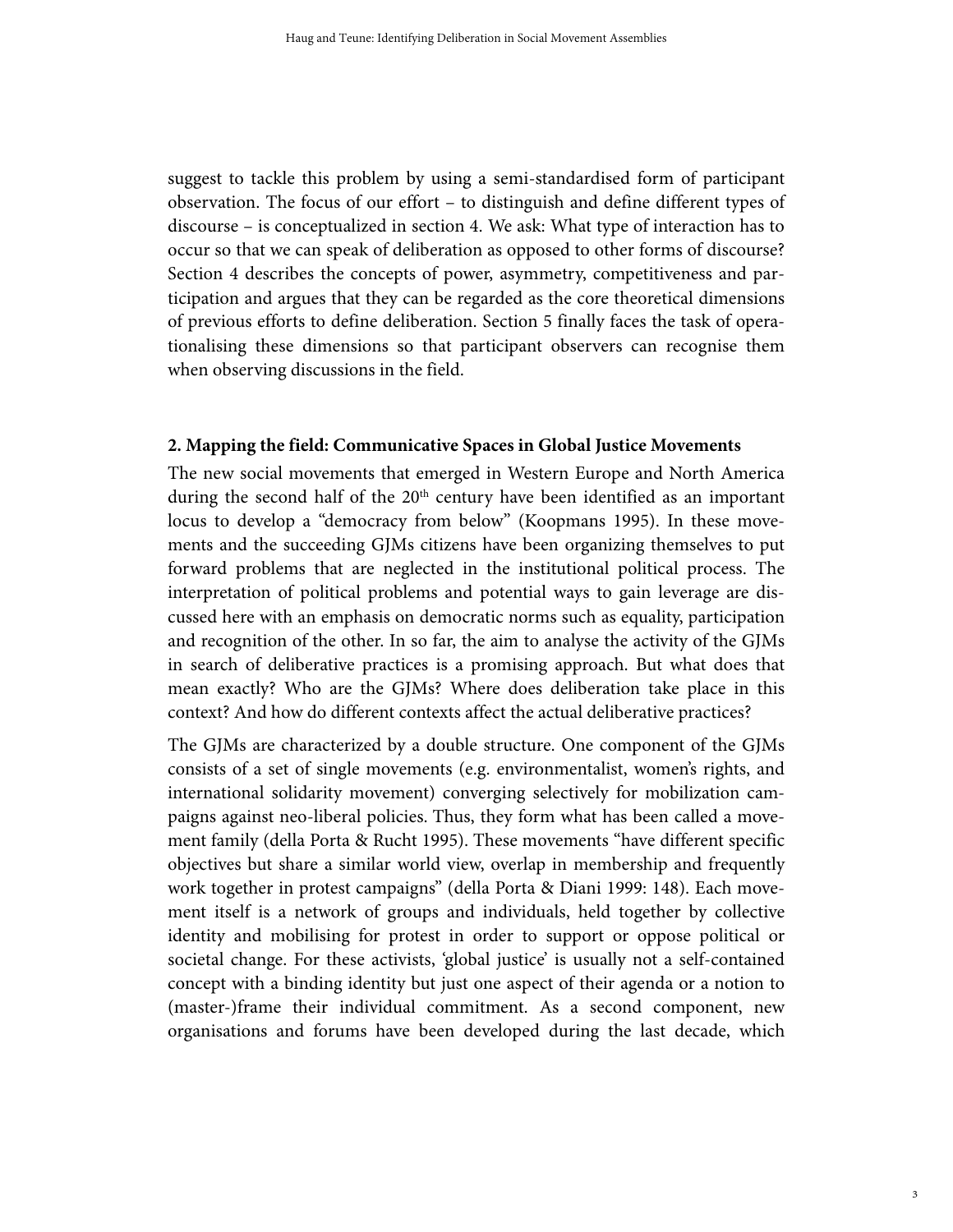suggest to tackle this problem by using a semi-standardised form of participant observation. The focus of our effort – to distinguish and define different types of discourse – is conceptualized in section 4. We ask: What type of interaction has to occur so that we can speak of deliberation as opposed to other forms of discourse? Section 4 describes the concepts of power, asymmetry, competitiveness and participation and argues that they can be regarded as the core theoretical dimensions of previous efforts to define deliberation. Section 5 finally faces the task of operationalising these dimensions so that participant observers can recognise them when observing discussions in the field.

#### **2. Mapping the field: Communicative Spaces in Global Justice Movements**

The new social movements that emerged in Western Europe and North America during the second half of the 20<sup>th</sup> century have been identified as an important locus to develop a "democracy from below" (Koopmans 1995). In these movements and the succeeding GJMs citizens have been organizing themselves to put forward problems that are neglected in the institutional political process. The interpretation of political problems and potential ways to gain leverage are discussed here with an emphasis on democratic norms such as equality, participation and recognition of the other. In so far, the aim to analyse the activity of the GJMs in search of deliberative practices is a promising approach. But what does that mean exactly? Who are the GJMs? Where does deliberation take place in this context? And how do different contexts affect the actual deliberative practices?

The GJMs are characterized by a double structure. One component of the GJMs consists of a set of single movements (e.g. environmentalist, women's rights, and international solidarity movement) converging selectively for mobilization campaigns against neo-liberal policies. Thus, they form what has been called a movement family (della Porta & Rucht 1995). These movements "have different specific objectives but share a similar world view, overlap in membership and frequently work together in protest campaigns" (della Porta & Diani 1999: 148). Each movement itself is a network of groups and individuals, held together by collective identity and mobilising for protest in order to support or oppose political or societal change. For these activists, 'global justice' is usually not a self-contained concept with a binding identity but just one aspect of their agenda or a notion to (master-)frame their individual commitment. As a second component, new organisations and forums have been developed during the last decade, which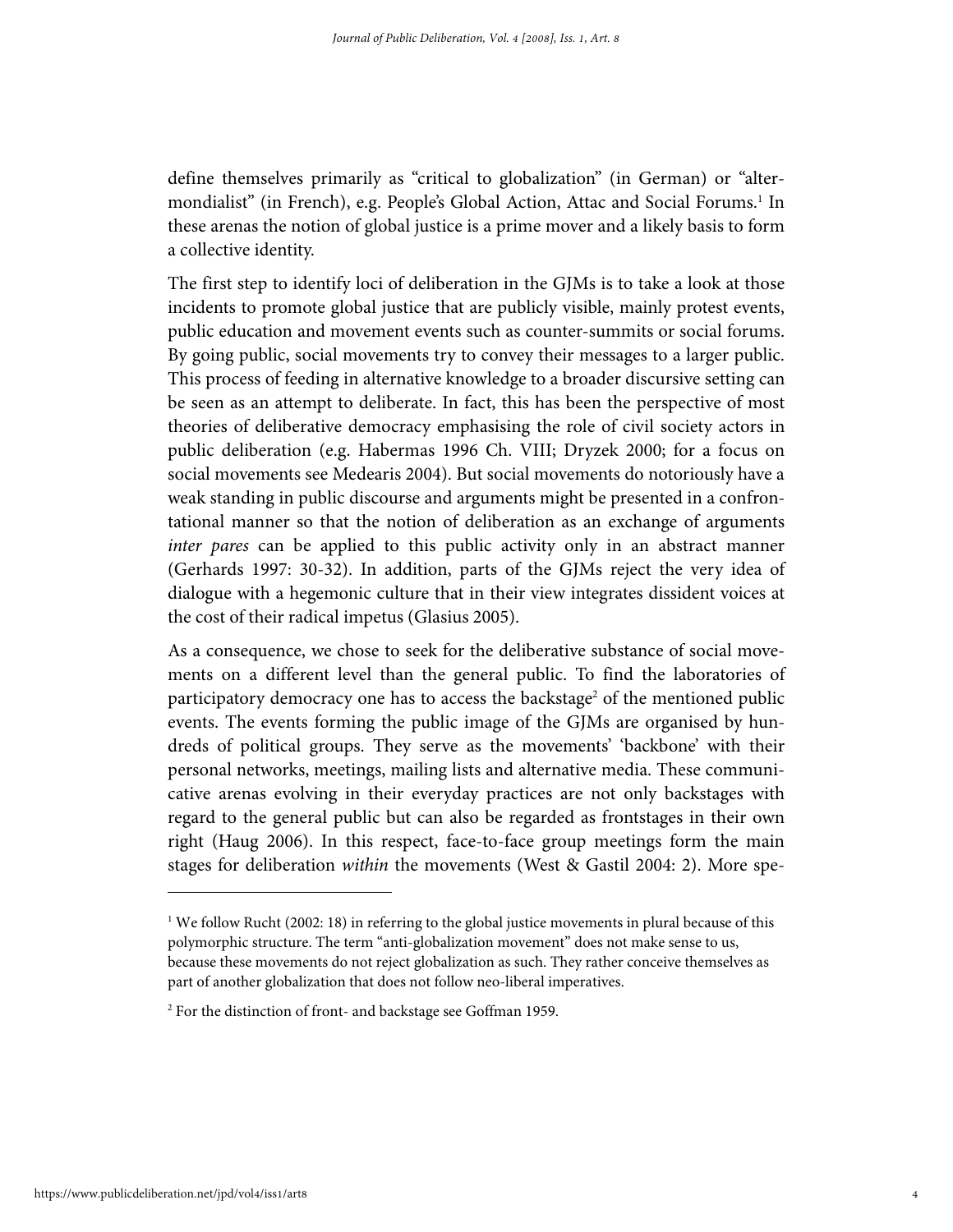define themselves primarily as "critical to globalization" (in German) or "altermondialist" (in French), e.g. People's Global Action, Attac and Social Forums.<sup>1</sup> In these arenas the notion of global justice is a prime mover and a likely basis to form a collective identity.

The first step to identify loci of deliberation in the GJMs is to take a look at those incidents to promote global justice that are publicly visible, mainly protest events, public education and movement events such as counter-summits or social forums. By going public, social movements try to convey their messages to a larger public. This process of feeding in alternative knowledge to a broader discursive setting can be seen as an attempt to deliberate. In fact, this has been the perspective of most theories of deliberative democracy emphasising the role of civil society actors in public deliberation (e.g. Habermas 1996 Ch. VIII; Dryzek 2000; for a focus on social movements see Medearis 2004). But social movements do notoriously have a weak standing in public discourse and arguments might be presented in a confrontational manner so that the notion of deliberation as an exchange of arguments inter pares can be applied to this public activity only in an abstract manner (Gerhards 1997: 30-32). In addition, parts of the GJMs reject the very idea of dialogue with a hegemonic culture that in their view integrates dissident voices at the cost of their radical impetus (Glasius 2005).

As a consequence, we chose to seek for the deliberative substance of social movements on a different level than the general public. To find the laboratories of participatory democracy one has to access the backstage<sup>2</sup> of the mentioned public events. The events forming the public image of the GJMs are organised by hundreds of political groups. They serve as the movements' 'backbone' with their personal networks, meetings, mailing lists and alternative media. These communicative arenas evolving in their everyday practices are not only backstages with regard to the general public but can also be regarded as frontstages in their own right (Haug 2006). In this respect, face-to-face group meetings form the main stages for deliberation within the movements (West & Gastil 2004: 2). More spe-

<sup>&</sup>lt;sup>1</sup> We follow Rucht (2002: 18) in referring to the global justice movements in plural because of this polymorphic structure. The term "anti-globalization movement" does not make sense to us, because these movements do not reject globalization as such. They rather conceive themselves as part of another globalization that does not follow neo-liberal imperatives.

<sup>2</sup> For the distinction of front- and backstage see Goffman 1959.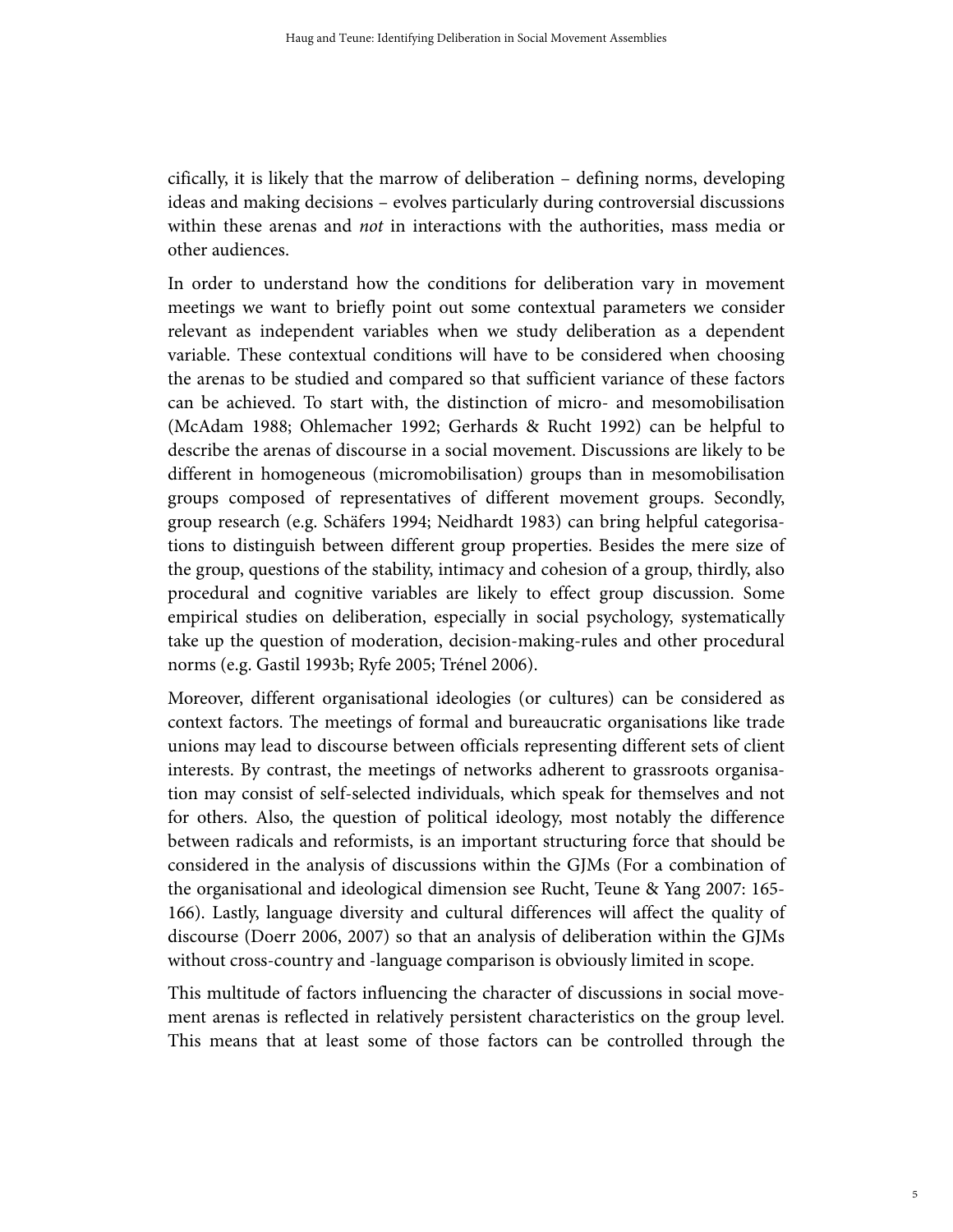cifically, it is likely that the marrow of deliberation – defining norms, developing ideas and making decisions – evolves particularly during controversial discussions within these arenas and *not* in interactions with the authorities, mass media or other audiences.

In order to understand how the conditions for deliberation vary in movement meetings we want to briefly point out some contextual parameters we consider relevant as independent variables when we study deliberation as a dependent variable. These contextual conditions will have to be considered when choosing the arenas to be studied and compared so that sufficient variance of these factors can be achieved. To start with, the distinction of micro- and mesomobilisation (McAdam 1988; Ohlemacher 1992; Gerhards & Rucht 1992) can be helpful to describe the arenas of discourse in a social movement. Discussions are likely to be different in homogeneous (micromobilisation) groups than in mesomobilisation groups composed of representatives of different movement groups. Secondly, group research (e.g. Schäfers 1994; Neidhardt 1983) can bring helpful categorisations to distinguish between different group properties. Besides the mere size of the group, questions of the stability, intimacy and cohesion of a group, thirdly, also procedural and cognitive variables are likely to effect group discussion. Some empirical studies on deliberation, especially in social psychology, systematically take up the question of moderation, decision-making-rules and other procedural norms (e.g. Gastil 1993b; Ryfe 2005; Trénel 2006).

Moreover, different organisational ideologies (or cultures) can be considered as context factors. The meetings of formal and bureaucratic organisations like trade unions may lead to discourse between officials representing different sets of client interests. By contrast, the meetings of networks adherent to grassroots organisation may consist of self-selected individuals, which speak for themselves and not for others. Also, the question of political ideology, most notably the difference between radicals and reformists, is an important structuring force that should be considered in the analysis of discussions within the GJMs (For a combination of the organisational and ideological dimension see Rucht, Teune & Yang 2007: 165- 166). Lastly, language diversity and cultural differences will affect the quality of discourse (Doerr 2006, 2007) so that an analysis of deliberation within the GJMs without cross-country and -language comparison is obviously limited in scope.

This multitude of factors influencing the character of discussions in social movement arenas is reflected in relatively persistent characteristics on the group level. This means that at least some of those factors can be controlled through the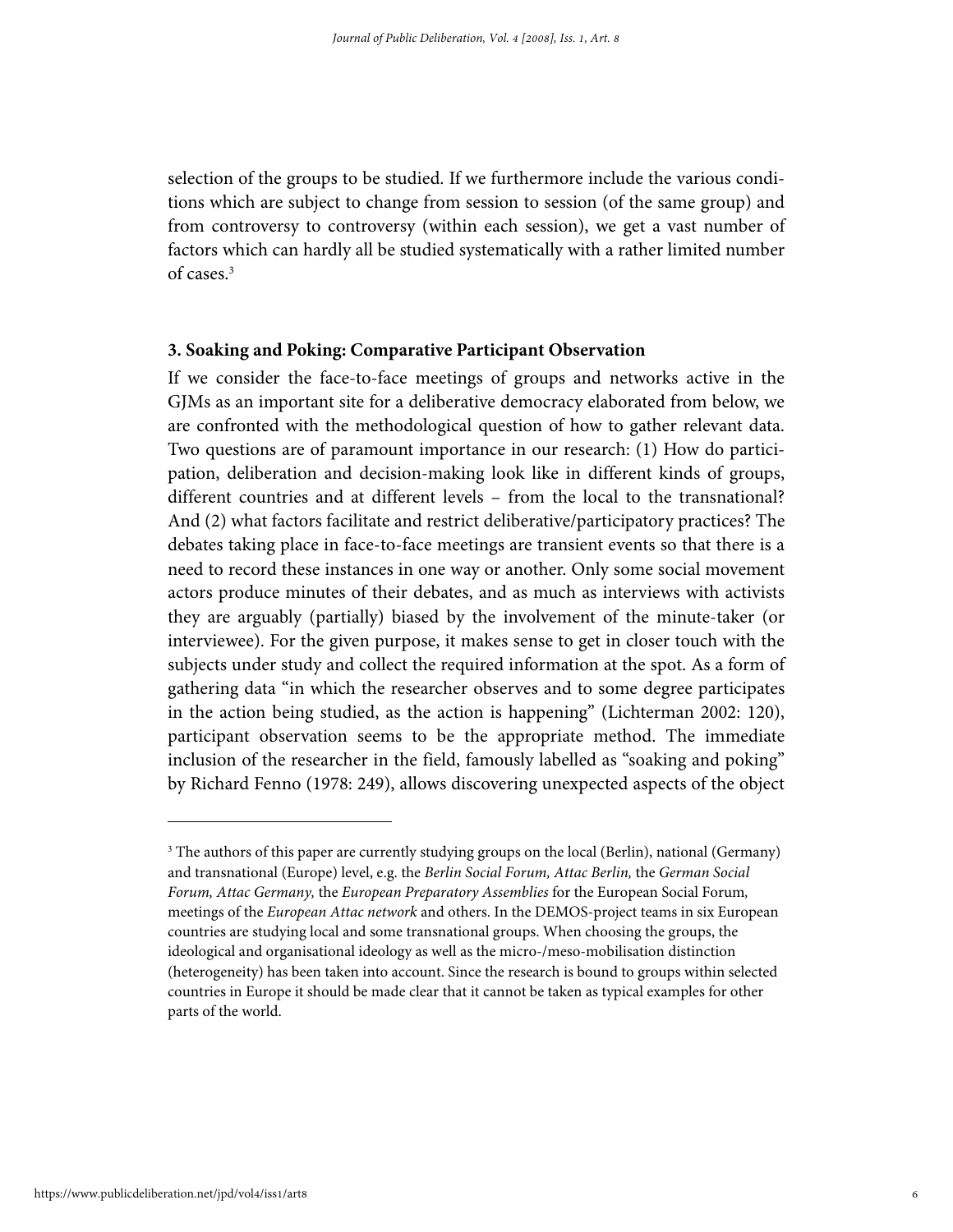selection of the groups to be studied. If we furthermore include the various conditions which are subject to change from session to session (of the same group) and from controversy to controversy (within each session), we get a vast number of factors which can hardly all be studied systematically with a rather limited number of cases.3

# **3. Soaking and Poking: Comparative Participant Observation**

If we consider the face-to-face meetings of groups and networks active in the GJMs as an important site for a deliberative democracy elaborated from below, we are confronted with the methodological question of how to gather relevant data. Two questions are of paramount importance in our research: (1) How do participation, deliberation and decision-making look like in different kinds of groups, different countries and at different levels – from the local to the transnational? And (2) what factors facilitate and restrict deliberative/participatory practices? The debates taking place in face-to-face meetings are transient events so that there is a need to record these instances in one way or another. Only some social movement actors produce minutes of their debates, and as much as interviews with activists they are arguably (partially) biased by the involvement of the minute-taker (or interviewee). For the given purpose, it makes sense to get in closer touch with the subjects under study and collect the required information at the spot. As a form of gathering data "in which the researcher observes and to some degree participates in the action being studied, as the action is happening" (Lichterman 2002: 120), participant observation seems to be the appropriate method. The immediate inclusion of the researcher in the field, famously labelled as "soaking and poking" by Richard Fenno (1978: 249), allows discovering unexpected aspects of the object

<sup>&</sup>lt;sup>3</sup> The authors of this paper are currently studying groups on the local (Berlin), national (Germany) and transnational (Europe) level, e.g. the Berlin Social Forum, Attac Berlin, the German Social Forum, Attac Germany, the European Preparatory Assemblies for the European Social Forum, meetings of the European Attac network and others. In the DEMOS-project teams in six European countries are studying local and some transnational groups. When choosing the groups, the ideological and organisational ideology as well as the micro-/meso-mobilisation distinction (heterogeneity) has been taken into account. Since the research is bound to groups within selected countries in Europe it should be made clear that it cannot be taken as typical examples for other parts of the world.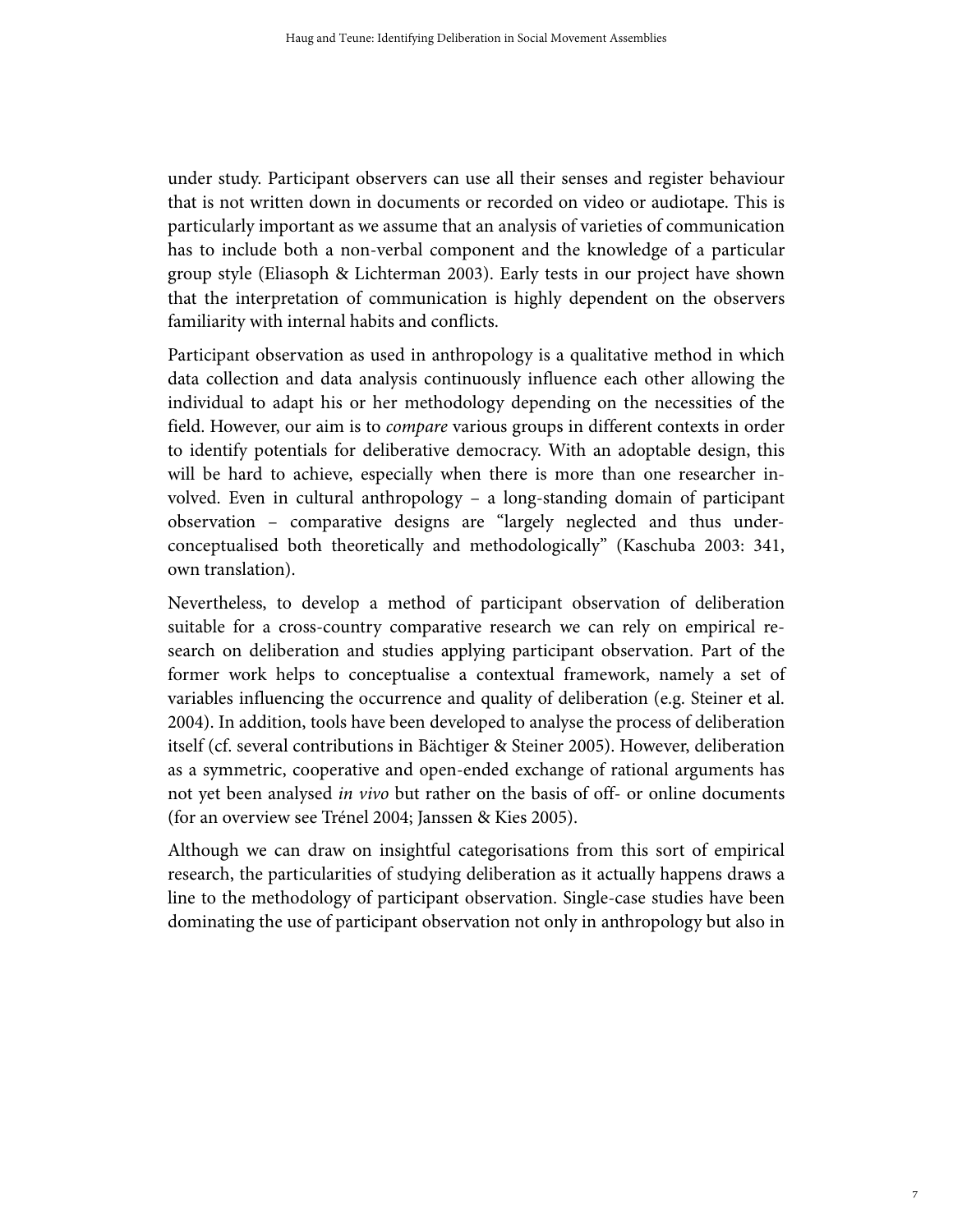under study. Participant observers can use all their senses and register behaviour that is not written down in documents or recorded on video or audiotape. This is particularly important as we assume that an analysis of varieties of communication has to include both a non-verbal component and the knowledge of a particular group style (Eliasoph & Lichterman 2003). Early tests in our project have shown that the interpretation of communication is highly dependent on the observers familiarity with internal habits and conflicts.

Participant observation as used in anthropology is a qualitative method in which data collection and data analysis continuously influence each other allowing the individual to adapt his or her methodology depending on the necessities of the field. However, our aim is to *compare* various groups in different contexts in order to identify potentials for deliberative democracy. With an adoptable design, this will be hard to achieve, especially when there is more than one researcher involved. Even in cultural anthropology – a long-standing domain of participant observation – comparative designs are "largely neglected and thus underconceptualised both theoretically and methodologically" (Kaschuba 2003: 341, own translation).

Nevertheless, to develop a method of participant observation of deliberation suitable for a cross-country comparative research we can rely on empirical research on deliberation and studies applying participant observation. Part of the former work helps to conceptualise a contextual framework, namely a set of variables influencing the occurrence and quality of deliberation (e.g. Steiner et al. 2004). In addition, tools have been developed to analyse the process of deliberation itself (cf. several contributions in Bächtiger & Steiner 2005). However, deliberation as a symmetric, cooperative and open-ended exchange of rational arguments has not yet been analysed in vivo but rather on the basis of off- or online documents (for an overview see Trénel 2004; Janssen & Kies 2005).

Although we can draw on insightful categorisations from this sort of empirical research, the particularities of studying deliberation as it actually happens draws a line to the methodology of participant observation. Single-case studies have been dominating the use of participant observation not only in anthropology but also in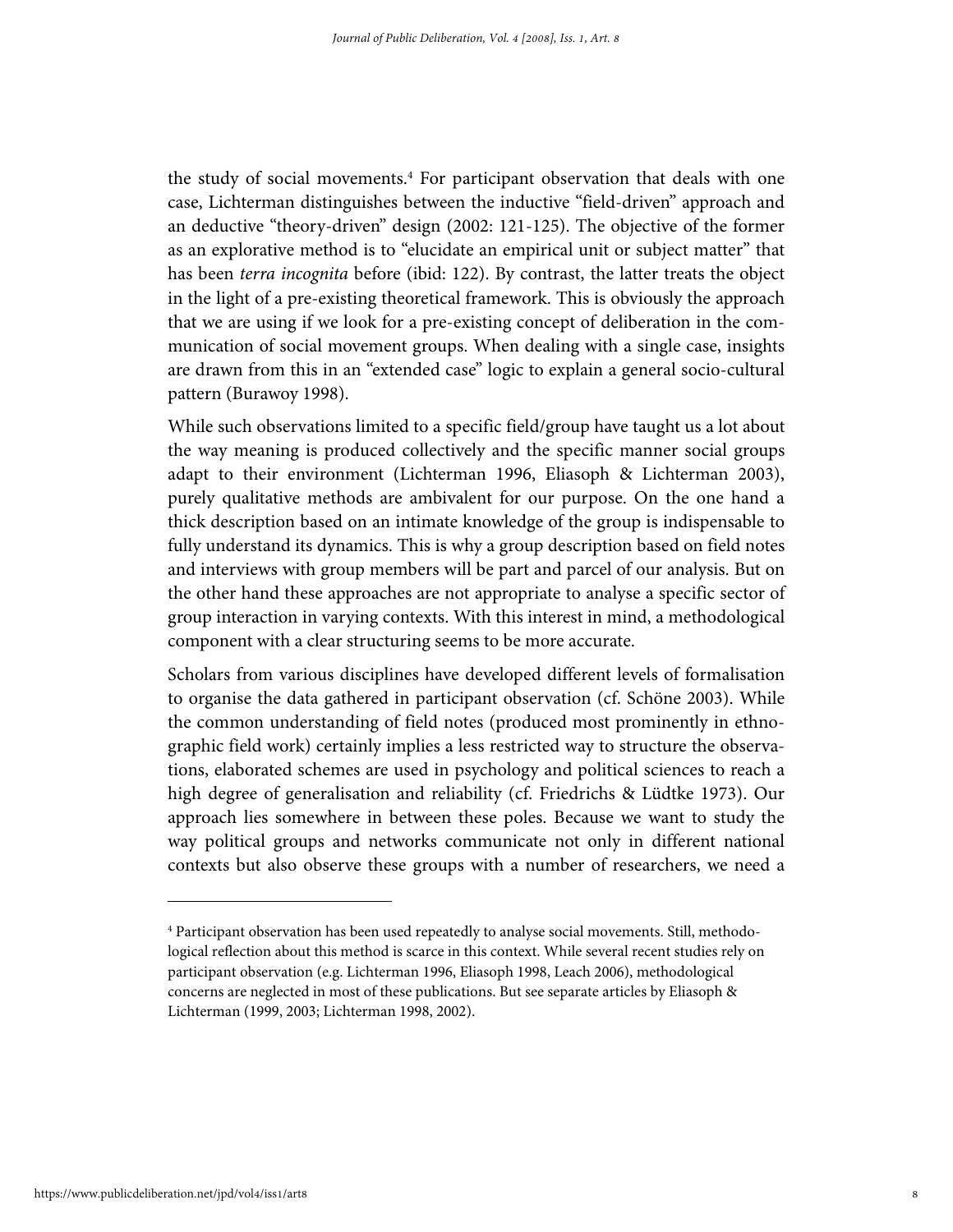the study of social movements.<sup>4</sup> For participant observation that deals with one case, Lichterman distinguishes between the inductive "field-driven" approach and an deductive "theory-driven" design (2002: 121-125). The objective of the former as an explorative method is to "elucidate an empirical unit or subject matter" that has been terra incognita before (ibid: 122). By contrast, the latter treats the object in the light of a pre-existing theoretical framework. This is obviously the approach that we are using if we look for a pre-existing concept of deliberation in the communication of social movement groups. When dealing with a single case, insights are drawn from this in an "extended case" logic to explain a general socio-cultural pattern (Burawoy 1998).

While such observations limited to a specific field/group have taught us a lot about the way meaning is produced collectively and the specific manner social groups adapt to their environment (Lichterman 1996, Eliasoph & Lichterman 2003), purely qualitative methods are ambivalent for our purpose. On the one hand a thick description based on an intimate knowledge of the group is indispensable to fully understand its dynamics. This is why a group description based on field notes and interviews with group members will be part and parcel of our analysis. But on the other hand these approaches are not appropriate to analyse a specific sector of group interaction in varying contexts. With this interest in mind, a methodological component with a clear structuring seems to be more accurate.

Scholars from various disciplines have developed different levels of formalisation to organise the data gathered in participant observation (cf. Schöne 2003). While the common understanding of field notes (produced most prominently in ethnographic field work) certainly implies a less restricted way to structure the observations, elaborated schemes are used in psychology and political sciences to reach a high degree of generalisation and reliability (cf. Friedrichs & Lüdtke 1973). Our approach lies somewhere in between these poles. Because we want to study the way political groups and networks communicate not only in different national contexts but also observe these groups with a number of researchers, we need a

<sup>4</sup> Participant observation has been used repeatedly to analyse social movements. Still, methodological reflection about this method is scarce in this context. While several recent studies rely on participant observation (e.g. Lichterman 1996, Eliasoph 1998, Leach 2006), methodological concerns are neglected in most of these publications. But see separate articles by Eliasoph & Lichterman (1999, 2003; Lichterman 1998, 2002).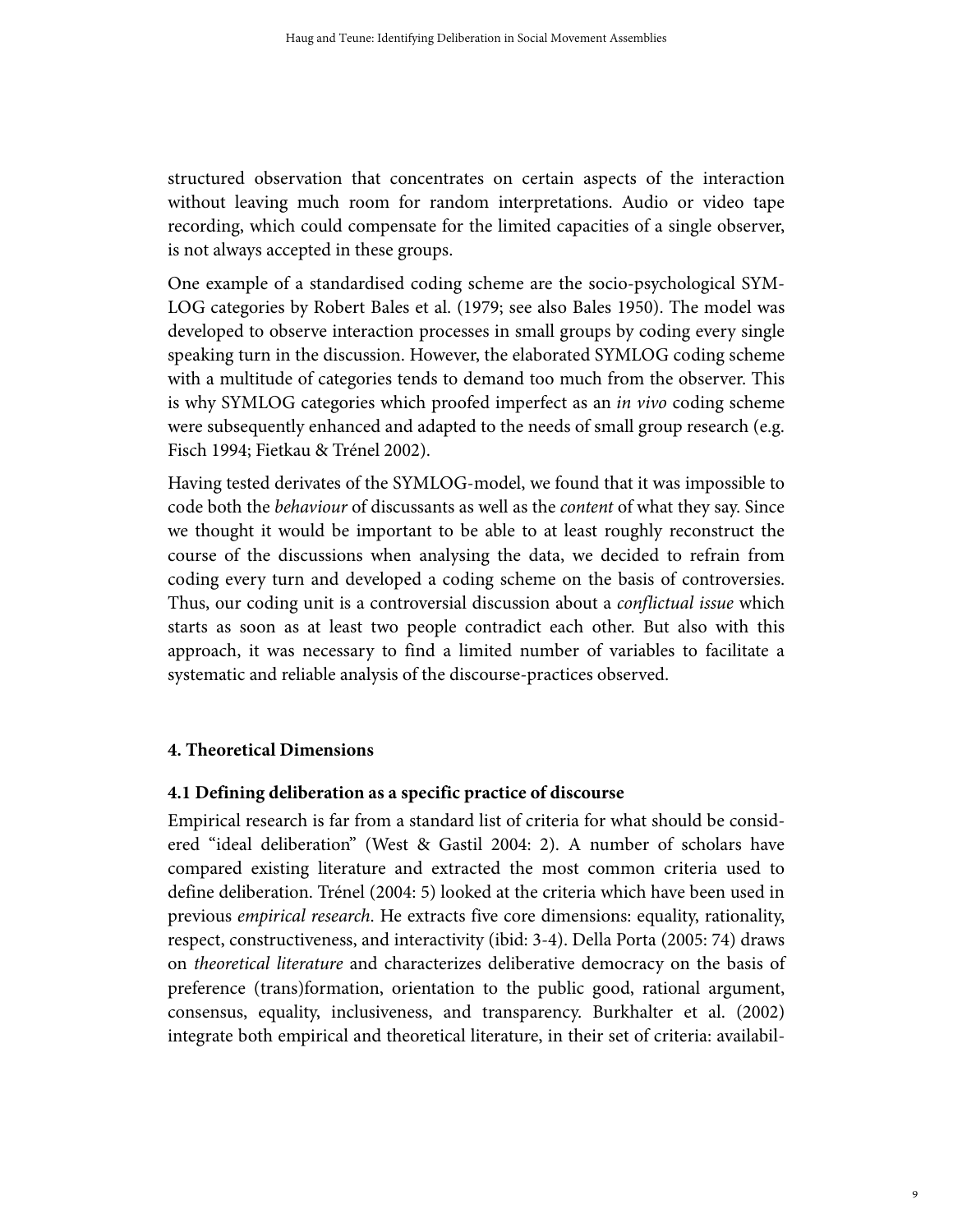structured observation that concentrates on certain aspects of the interaction without leaving much room for random interpretations. Audio or video tape recording, which could compensate for the limited capacities of a single observer, is not always accepted in these groups.

One example of a standardised coding scheme are the socio-psychological SYM-LOG categories by Robert Bales et al. (1979; see also Bales 1950). The model was developed to observe interaction processes in small groups by coding every single speaking turn in the discussion. However, the elaborated SYMLOG coding scheme with a multitude of categories tends to demand too much from the observer. This is why SYMLOG categories which proofed imperfect as an in vivo coding scheme were subsequently enhanced and adapted to the needs of small group research (e.g. Fisch 1994; Fietkau & Trénel 2002).

Having tested derivates of the SYMLOG-model, we found that it was impossible to code both the behaviour of discussants as well as the content of what they say. Since we thought it would be important to be able to at least roughly reconstruct the course of the discussions when analysing the data, we decided to refrain from coding every turn and developed a coding scheme on the basis of controversies. Thus, our coding unit is a controversial discussion about a *conflictual issue* which starts as soon as at least two people contradict each other. But also with this approach, it was necessary to find a limited number of variables to facilitate a systematic and reliable analysis of the discourse-practices observed.

## **4. Theoretical Dimensions**

## **4.1 Defining deliberation as a specific practice of discourse**

Empirical research is far from a standard list of criteria for what should be considered "ideal deliberation" (West & Gastil 2004: 2). A number of scholars have compared existing literature and extracted the most common criteria used to define deliberation. Trénel (2004: 5) looked at the criteria which have been used in previous empirical research. He extracts five core dimensions: equality, rationality, respect, constructiveness, and interactivity (ibid: 3-4). Della Porta (2005: 74) draws on theoretical literature and characterizes deliberative democracy on the basis of preference (trans)formation, orientation to the public good, rational argument, consensus, equality, inclusiveness, and transparency. Burkhalter et al. (2002) integrate both empirical and theoretical literature, in their set of criteria: availabil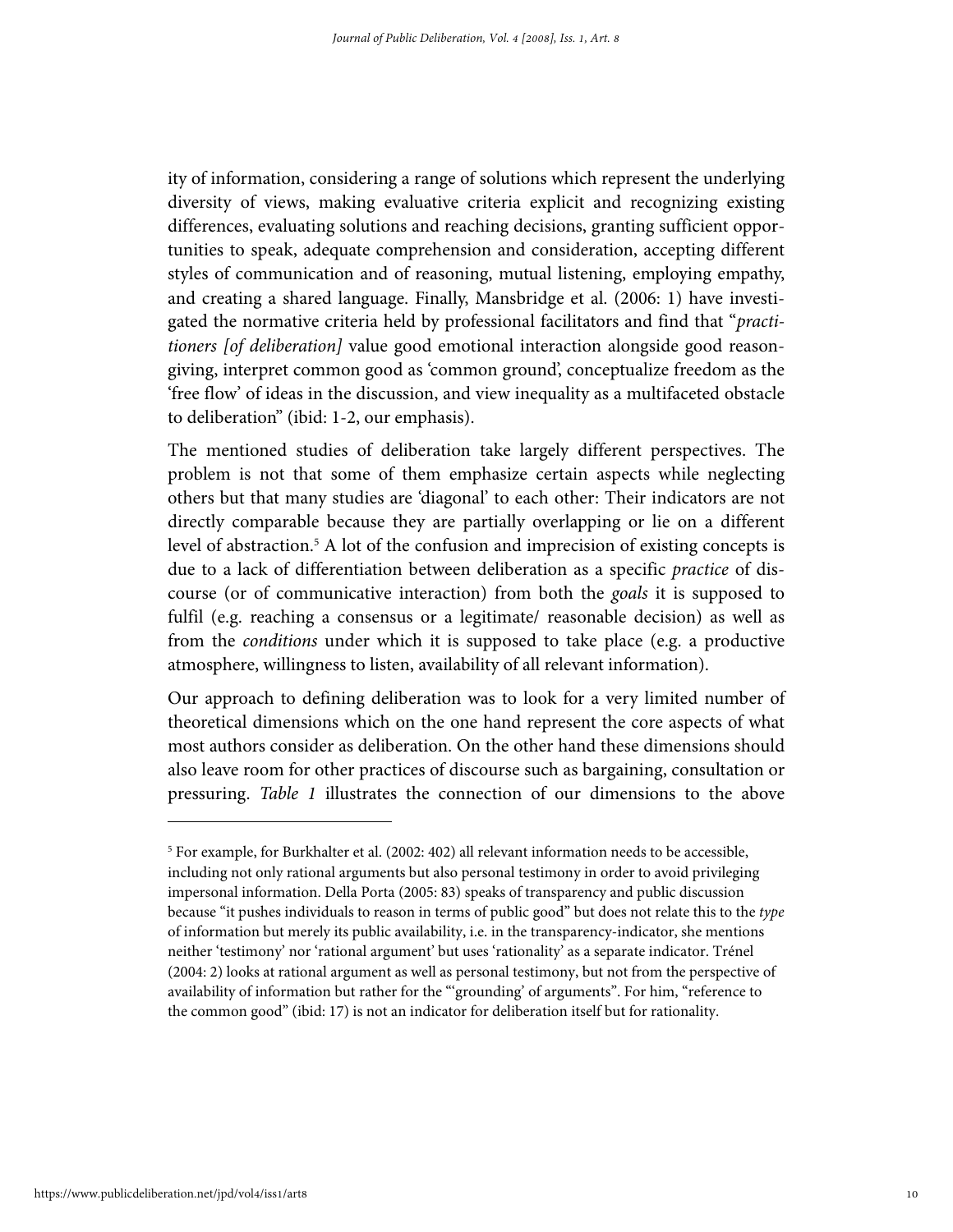ity of information, considering a range of solutions which represent the underlying diversity of views, making evaluative criteria explicit and recognizing existing differences, evaluating solutions and reaching decisions, granting sufficient opportunities to speak, adequate comprehension and consideration, accepting different styles of communication and of reasoning, mutual listening, employing empathy, and creating a shared language. Finally, Mansbridge et al. (2006: 1) have investigated the normative criteria held by professional facilitators and find that "*practi*tioners [of deliberation] value good emotional interaction alongside good reasongiving, interpret common good as 'common ground', conceptualize freedom as the 'free flow' of ideas in the discussion, and view inequality as a multifaceted obstacle to deliberation" (ibid: 1-2, our emphasis).

The mentioned studies of deliberation take largely different perspectives. The problem is not that some of them emphasize certain aspects while neglecting others but that many studies are 'diagonal' to each other: Their indicators are not directly comparable because they are partially overlapping or lie on a different level of abstraction.<sup>5</sup> A lot of the confusion and imprecision of existing concepts is due to a lack of differentiation between deliberation as a specific practice of discourse (or of communicative interaction) from both the goals it is supposed to fulfil (e.g. reaching a consensus or a legitimate/ reasonable decision) as well as from the conditions under which it is supposed to take place (e.g. a productive atmosphere, willingness to listen, availability of all relevant information).

Our approach to defining deliberation was to look for a very limited number of theoretical dimensions which on the one hand represent the core aspects of what most authors consider as deliberation. On the other hand these dimensions should also leave room for other practices of discourse such as bargaining, consultation or pressuring. Table 1 illustrates the connection of our dimensions to the above

<sup>&</sup>lt;sup>5</sup> For example, for Burkhalter et al. (2002: 402) all relevant information needs to be accessible, including not only rational arguments but also personal testimony in order to avoid privileging impersonal information. Della Porta (2005: 83) speaks of transparency and public discussion because "it pushes individuals to reason in terms of public good" but does not relate this to the type of information but merely its public availability, i.e. in the transparency-indicator, she mentions neither 'testimony' nor 'rational argument' but uses 'rationality' as a separate indicator. Trénel (2004: 2) looks at rational argument as well as personal testimony, but not from the perspective of availability of information but rather for the "'grounding' of arguments". For him, "reference to the common good" (ibid: 17) is not an indicator for deliberation itself but for rationality.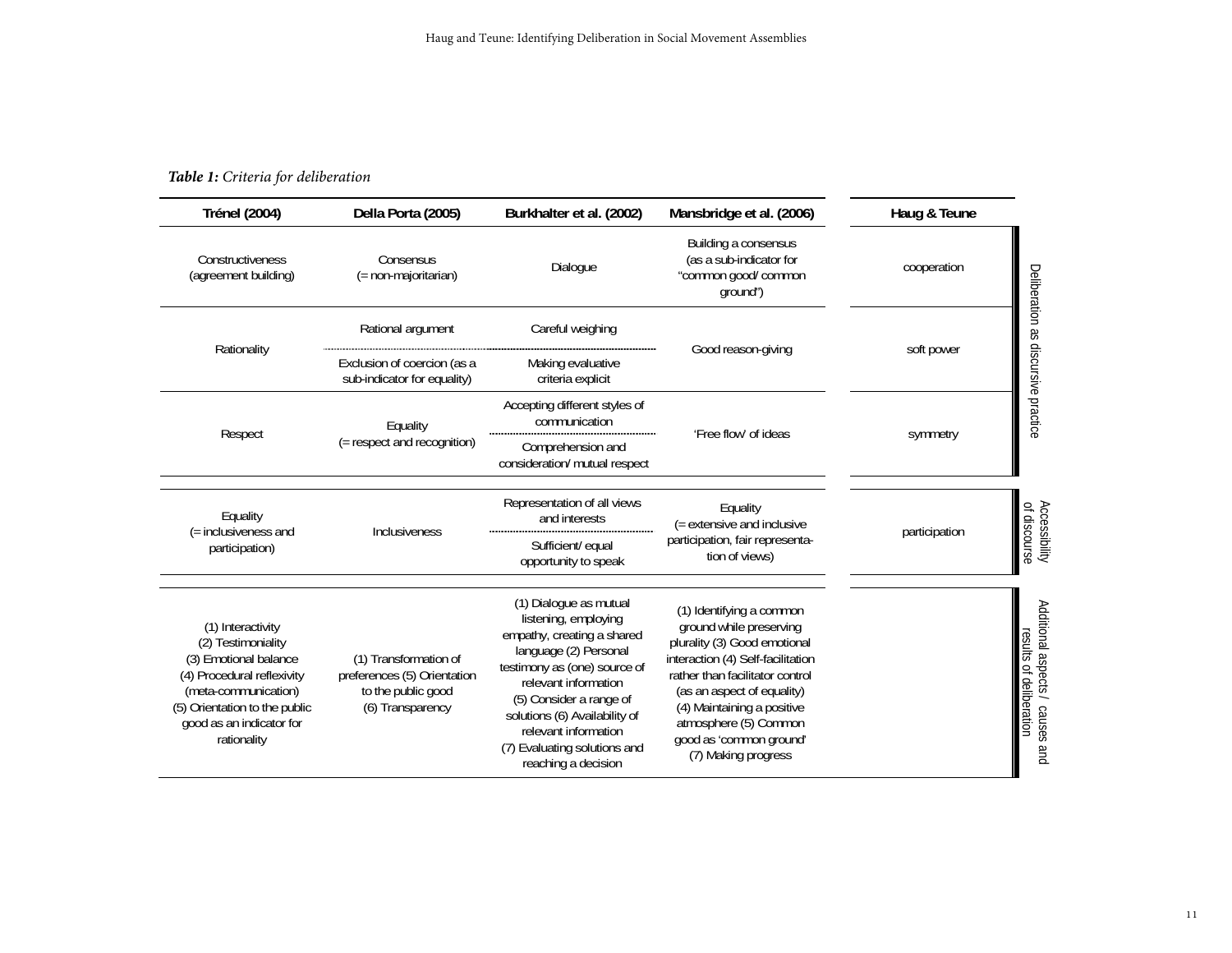#### *Table 1: Criteria for deliberation*

| <b>Trénel (2004)</b>                                                                                                                                                                               | Della Porta (2005)                                                                             | Burkhalter et al. (2002)                                                                                                                                                                                                                                                                                 | Mansbridge et al. (2006)                                                                                                                                                                                                                                                                           | Haug & Teune  |                                                            |
|----------------------------------------------------------------------------------------------------------------------------------------------------------------------------------------------------|------------------------------------------------------------------------------------------------|----------------------------------------------------------------------------------------------------------------------------------------------------------------------------------------------------------------------------------------------------------------------------------------------------------|----------------------------------------------------------------------------------------------------------------------------------------------------------------------------------------------------------------------------------------------------------------------------------------------------|---------------|------------------------------------------------------------|
| Constructiveness<br>(agreement building)                                                                                                                                                           | Consensus<br>(= non-majoritarian)                                                              | Dialogue                                                                                                                                                                                                                                                                                                 | Building a consensus<br>(as a sub-indicator for<br>"common good/ common<br>ground")                                                                                                                                                                                                                | cooperation   |                                                            |
| Rationality                                                                                                                                                                                        | Rational argument                                                                              | Careful weighing                                                                                                                                                                                                                                                                                         | Good reason-giving                                                                                                                                                                                                                                                                                 | soft power    |                                                            |
|                                                                                                                                                                                                    | Exclusion of coercion (as a<br>sub-indicator for equality)                                     | Making evaluative<br>criteria explicit                                                                                                                                                                                                                                                                   |                                                                                                                                                                                                                                                                                                    |               | Deliberation as discursive practice                        |
| Respect                                                                                                                                                                                            | Equality<br>(= respect and recognition)                                                        | Accepting different styles of<br>communication                                                                                                                                                                                                                                                           | 'Free flow' of ideas                                                                                                                                                                                                                                                                               | symmetry      |                                                            |
|                                                                                                                                                                                                    |                                                                                                | Comprehension and<br>consideration/ mutual respect                                                                                                                                                                                                                                                       |                                                                                                                                                                                                                                                                                                    |               |                                                            |
| Equality<br>(= inclusiveness and<br>participation)                                                                                                                                                 | Inclusiveness                                                                                  | Representation of all views<br>and interests                                                                                                                                                                                                                                                             | Equality<br>(= extensive and inclusive<br>participation, fair representa-<br>tion of views)                                                                                                                                                                                                        | participation | Accessibility<br>of discourse                              |
|                                                                                                                                                                                                    |                                                                                                | Sufficient/ equal<br>opportunity to speak                                                                                                                                                                                                                                                                |                                                                                                                                                                                                                                                                                                    |               |                                                            |
| (1) Interactivity<br>(2) Testimoniality<br>(3) Emotional balance<br>(4) Procedural reflexivity<br>(meta-communication)<br>(5) Orientation to the public<br>good as an indicator for<br>rationality | (1) Transformation of<br>preferences (5) Orientation<br>to the public good<br>(6) Transparency | (1) Dialogue as mutual<br>listening, employing<br>empathy, creating a shared<br>language (2) Personal<br>testimony as (one) source of<br>relevant information<br>(5) Consider a range of<br>solutions (6) Availability of<br>relevant information<br>(7) Evaluating solutions and<br>reaching a decision | (1) Identifying a common<br>ground while preserving<br>plurality (3) Good emotional<br>interaction (4) Self-facilitation<br>rather than facilitator control<br>(as an aspect of equality)<br>(4) Maintaining a positive<br>atmosphere (5) Common<br>good as 'common ground'<br>(7) Making progress |               | Additional aspects / causes and<br>results of deliberation |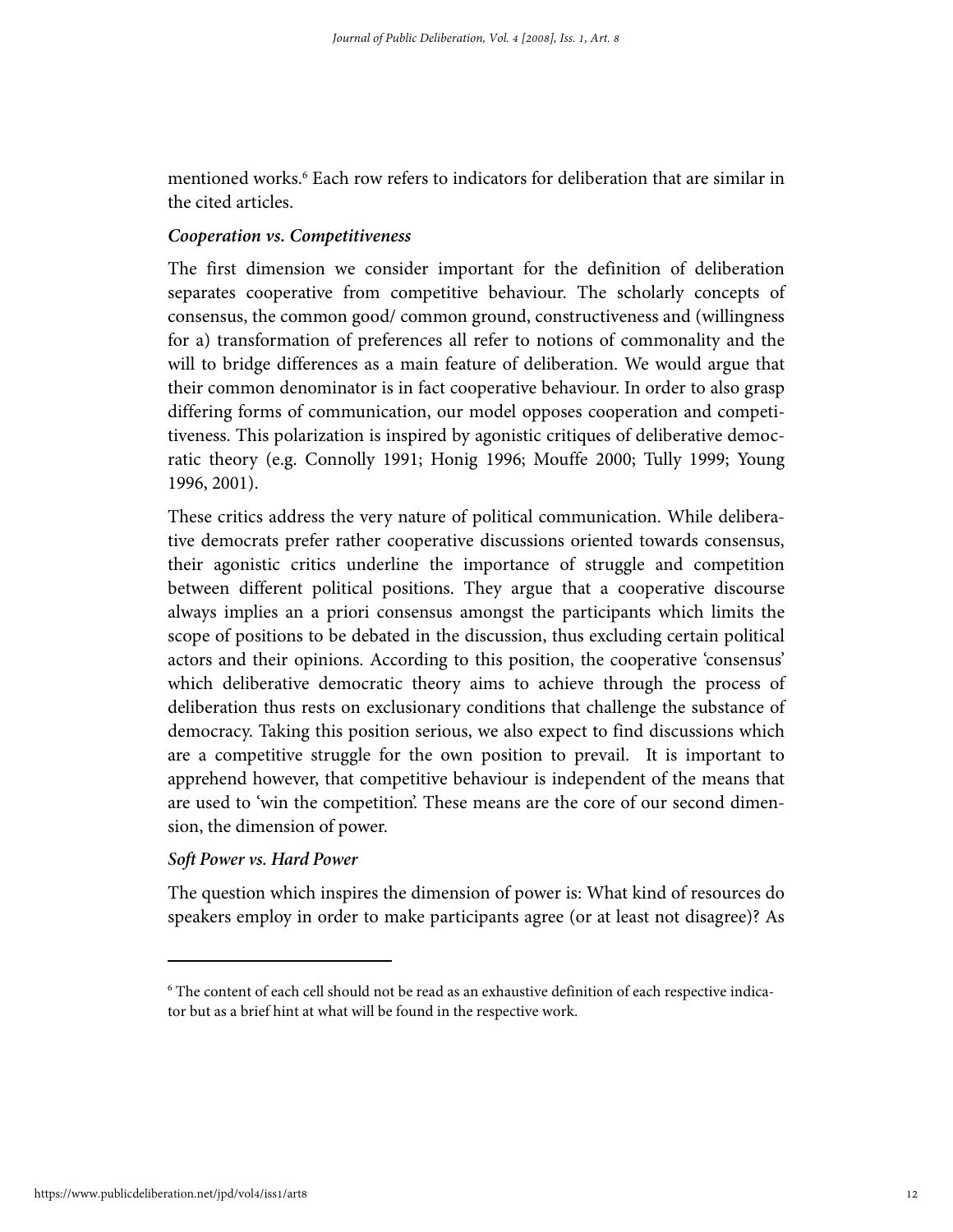mentioned works.<sup>6</sup> Each row refers to indicators for deliberation that are similar in the cited articles.

#### *Cooperation vs. Competitiveness*

The first dimension we consider important for the definition of deliberation separates cooperative from competitive behaviour. The scholarly concepts of consensus, the common good/ common ground, constructiveness and (willingness for a) transformation of preferences all refer to notions of commonality and the will to bridge differences as a main feature of deliberation. We would argue that their common denominator is in fact cooperative behaviour. In order to also grasp differing forms of communication, our model opposes cooperation and competitiveness. This polarization is inspired by agonistic critiques of deliberative democratic theory (e.g. Connolly 1991; Honig 1996; Mouffe 2000; Tully 1999; Young 1996, 2001).

These critics address the very nature of political communication. While deliberative democrats prefer rather cooperative discussions oriented towards consensus, their agonistic critics underline the importance of struggle and competition between different political positions. They argue that a cooperative discourse always implies an a priori consensus amongst the participants which limits the scope of positions to be debated in the discussion, thus excluding certain political actors and their opinions. According to this position, the cooperative 'consensus' which deliberative democratic theory aims to achieve through the process of deliberation thus rests on exclusionary conditions that challenge the substance of democracy. Taking this position serious, we also expect to find discussions which are a competitive struggle for the own position to prevail. It is important to apprehend however, that competitive behaviour is independent of the means that are used to 'win the competition'. These means are the core of our second dimension, the dimension of power.

#### *Soft Power vs. Hard Power*

The question which inspires the dimension of power is: What kind of resources do speakers employ in order to make participants agree (or at least not disagree)? As

<sup>6</sup> The content of each cell should not be read as an exhaustive definition of each respective indicator but as a brief hint at what will be found in the respective work.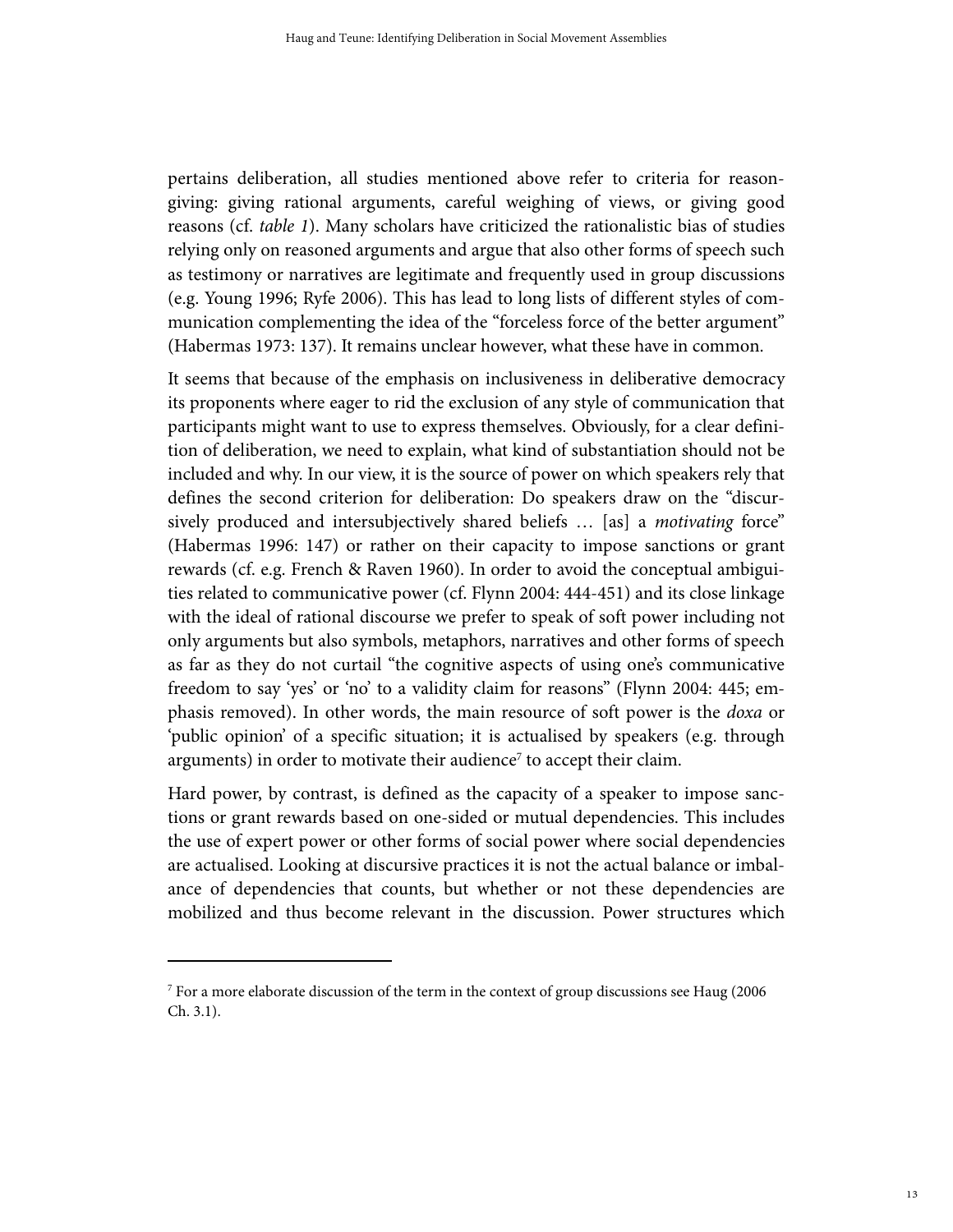pertains deliberation, all studies mentioned above refer to criteria for reasongiving: giving rational arguments, careful weighing of views, or giving good reasons (cf. table 1). Many scholars have criticized the rationalistic bias of studies relying only on reasoned arguments and argue that also other forms of speech such as testimony or narratives are legitimate and frequently used in group discussions (e.g. Young 1996; Ryfe 2006). This has lead to long lists of different styles of communication complementing the idea of the "forceless force of the better argument" (Habermas 1973: 137). It remains unclear however, what these have in common.

It seems that because of the emphasis on inclusiveness in deliberative democracy its proponents where eager to rid the exclusion of any style of communication that participants might want to use to express themselves. Obviously, for a clear definition of deliberation, we need to explain, what kind of substantiation should not be included and why. In our view, it is the source of power on which speakers rely that defines the second criterion for deliberation: Do speakers draw on the "discursively produced and intersubjectively shared beliefs ... [as] a *motivating* force" (Habermas 1996: 147) or rather on their capacity to impose sanctions or grant rewards (cf. e.g. French & Raven 1960). In order to avoid the conceptual ambiguities related to communicative power (cf. Flynn 2004: 444-451) and its close linkage with the ideal of rational discourse we prefer to speak of soft power including not only arguments but also symbols, metaphors, narratives and other forms of speech as far as they do not curtail "the cognitive aspects of using one's communicative freedom to say 'yes' or 'no' to a validity claim for reasons" (Flynn 2004: 445; emphasis removed). In other words, the main resource of soft power is the *doxa* or 'public opinion' of a specific situation; it is actualised by speakers (e.g. through arguments) in order to motivate their audience<sup>7</sup> to accept their claim.

Hard power, by contrast, is defined as the capacity of a speaker to impose sanctions or grant rewards based on one-sided or mutual dependencies. This includes the use of expert power or other forms of social power where social dependencies are actualised. Looking at discursive practices it is not the actual balance or imbalance of dependencies that counts, but whether or not these dependencies are mobilized and thus become relevant in the discussion. Power structures which

 $^7$  For a more elaborate discussion of the term in the context of group discussions see Haug (2006) Ch. 3.1).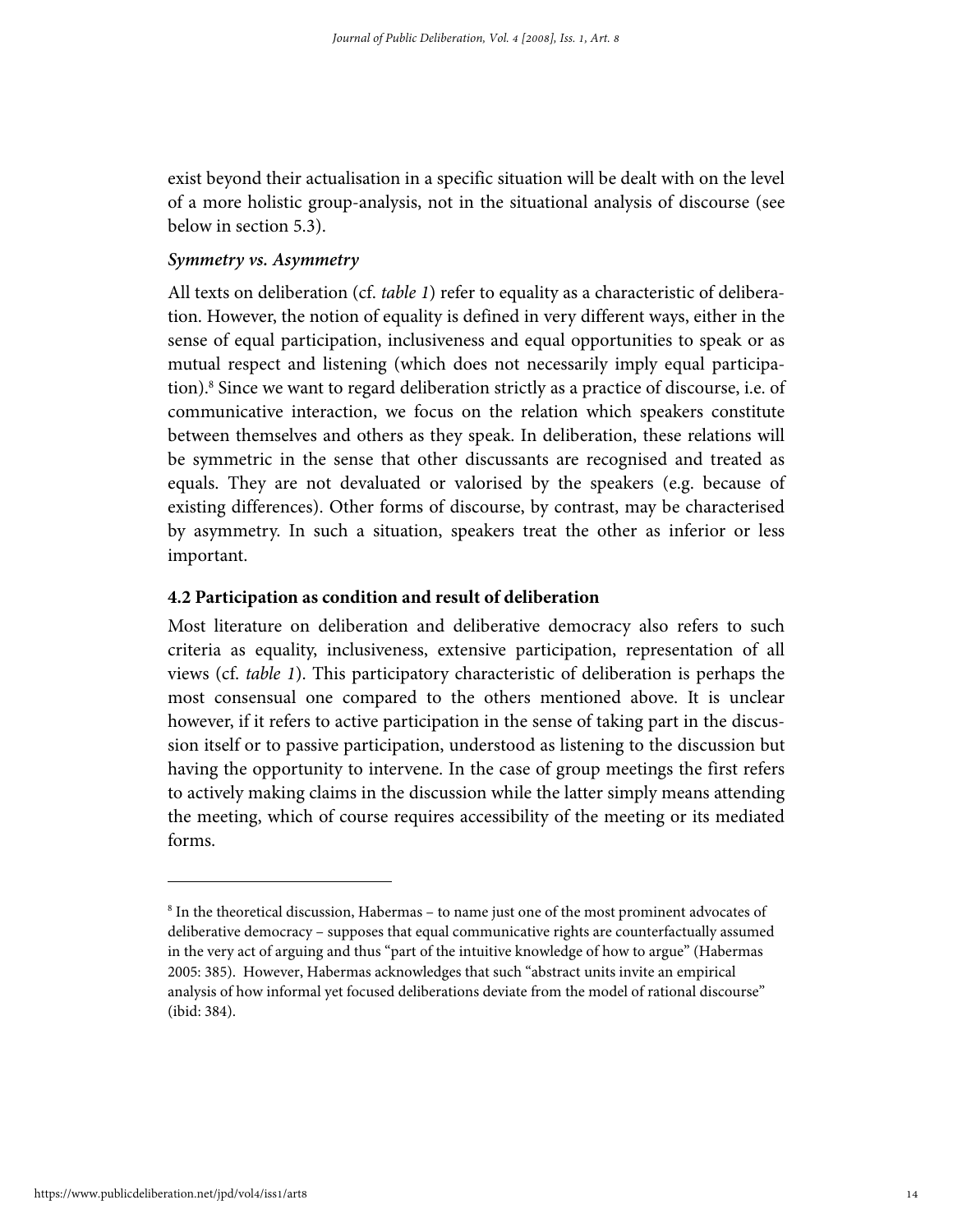exist beyond their actualisation in a specific situation will be dealt with on the level of a more holistic group-analysis, not in the situational analysis of discourse (see below in section 5.3).

## *Symmetry vs. Asymmetry*

All texts on deliberation (cf. table 1) refer to equality as a characteristic of deliberation. However, the notion of equality is defined in very different ways, either in the sense of equal participation, inclusiveness and equal opportunities to speak or as mutual respect and listening (which does not necessarily imply equal participation).8 Since we want to regard deliberation strictly as a practice of discourse, i.e. of communicative interaction, we focus on the relation which speakers constitute between themselves and others as they speak. In deliberation, these relations will be symmetric in the sense that other discussants are recognised and treated as equals. They are not devaluated or valorised by the speakers (e.g. because of existing differences). Other forms of discourse, by contrast, may be characterised by asymmetry. In such a situation, speakers treat the other as inferior or less important.

#### **4.2 Participation as condition and result of deliberation**

Most literature on deliberation and deliberative democracy also refers to such criteria as equality, inclusiveness, extensive participation, representation of all views (cf. table 1). This participatory characteristic of deliberation is perhaps the most consensual one compared to the others mentioned above. It is unclear however, if it refers to active participation in the sense of taking part in the discussion itself or to passive participation, understood as listening to the discussion but having the opportunity to intervene. In the case of group meetings the first refers to actively making claims in the discussion while the latter simply means attending the meeting, which of course requires accessibility of the meeting or its mediated forms.

<sup>&</sup>lt;sup>8</sup> In the theoretical discussion, Habermas - to name just one of the most prominent advocates of deliberative democracy – supposes that equal communicative rights are counterfactually assumed in the very act of arguing and thus "part of the intuitive knowledge of how to argue" (Habermas 2005: 385). However, Habermas acknowledges that such "abstract units invite an empirical analysis of how informal yet focused deliberations deviate from the model of rational discourse" (ibid: 384).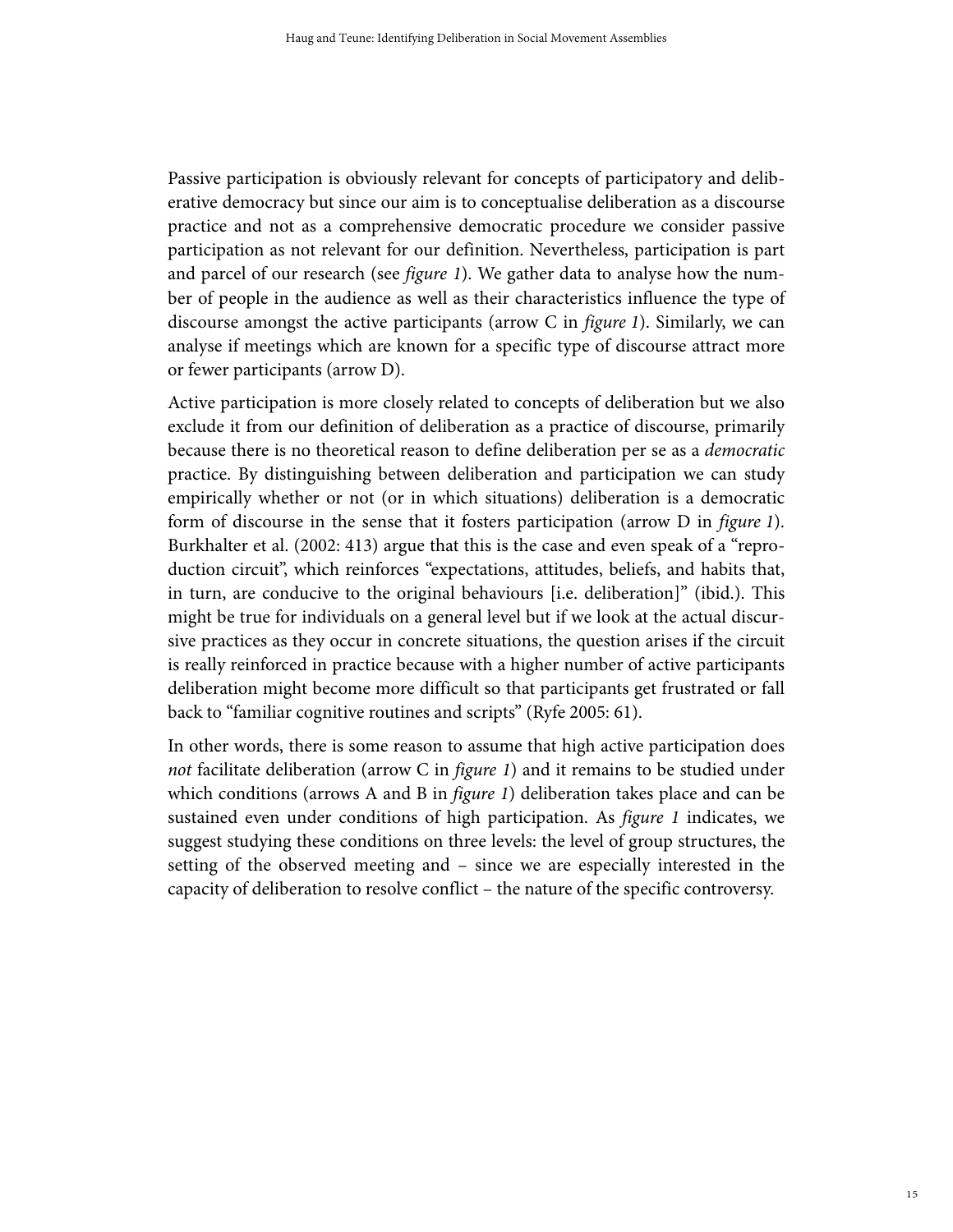Passive participation is obviously relevant for concepts of participatory and deliberative democracy but since our aim is to conceptualise deliberation as a discourse practice and not as a comprehensive democratic procedure we consider passive participation as not relevant for our definition. Nevertheless, participation is part and parcel of our research (see figure 1). We gather data to analyse how the number of people in the audience as well as their characteristics influence the type of discourse amongst the active participants (arrow C in figure 1). Similarly, we can analyse if meetings which are known for a specific type of discourse attract more or fewer participants (arrow D).

Active participation is more closely related to concepts of deliberation but we also exclude it from our definition of deliberation as a practice of discourse, primarily because there is no theoretical reason to define deliberation per se as a democratic practice. By distinguishing between deliberation and participation we can study empirically whether or not (or in which situations) deliberation is a democratic form of discourse in the sense that it fosters participation (arrow D in *figure 1*). Burkhalter et al. (2002: 413) argue that this is the case and even speak of a "reproduction circuit", which reinforces "expectations, attitudes, beliefs, and habits that, in turn, are conducive to the original behaviours [i.e. deliberation]" (ibid.). This might be true for individuals on a general level but if we look at the actual discursive practices as they occur in concrete situations, the question arises if the circuit is really reinforced in practice because with a higher number of active participants deliberation might become more difficult so that participants get frustrated or fall back to "familiar cognitive routines and scripts" (Ryfe 2005: 61).

In other words, there is some reason to assume that high active participation does not facilitate deliberation (arrow C in *figure 1*) and it remains to be studied under which conditions (arrows A and B in *figure 1*) deliberation takes place and can be sustained even under conditions of high participation. As figure 1 indicates, we suggest studying these conditions on three levels: the level of group structures, the setting of the observed meeting and – since we are especially interested in the capacity of deliberation to resolve conflict – the nature of the specific controversy.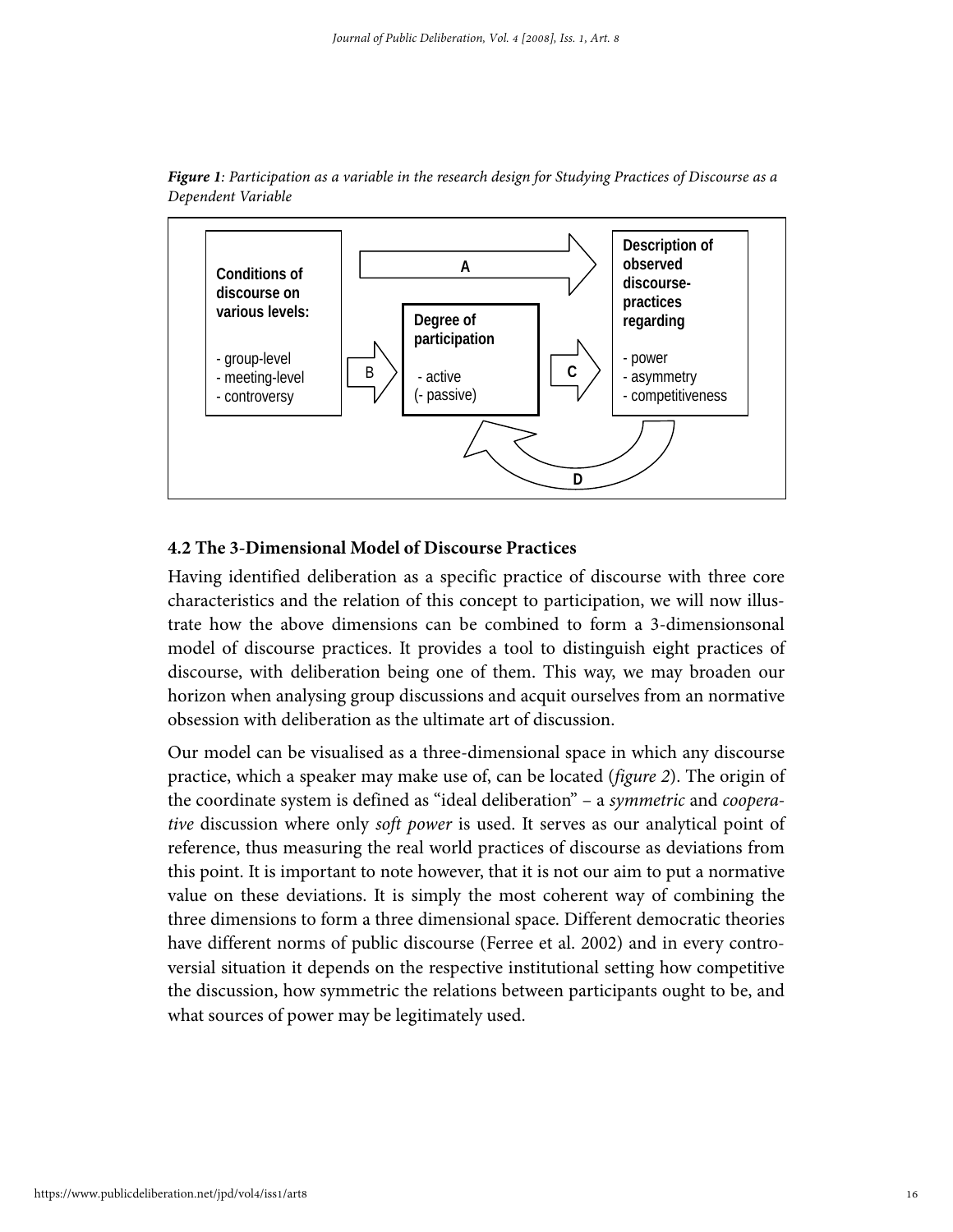



## **4.2 The 3-Dimensional Model of Discourse Practices**

Having identified deliberation as a specific practice of discourse with three core characteristics and the relation of this concept to participation, we will now illustrate how the above dimensions can be combined to form a 3-dimensionsonal model of discourse practices. It provides a tool to distinguish eight practices of discourse, with deliberation being one of them. This way, we may broaden our horizon when analysing group discussions and acquit ourselves from an normative obsession with deliberation as the ultimate art of discussion.

Our model can be visualised as a three-dimensional space in which any discourse practice, which a speaker may make use of, can be located (figure 2). The origin of the coordinate system is defined as "ideal deliberation" – a symmetric and cooperative discussion where only soft power is used. It serves as our analytical point of reference, thus measuring the real world practices of discourse as deviations from this point. It is important to note however, that it is not our aim to put a normative value on these deviations. It is simply the most coherent way of combining the three dimensions to form a three dimensional space. Different democratic theories have different norms of public discourse (Ferree et al. 2002) and in every controversial situation it depends on the respective institutional setting how competitive the discussion, how symmetric the relations between participants ought to be, and what sources of power may be legitimately used.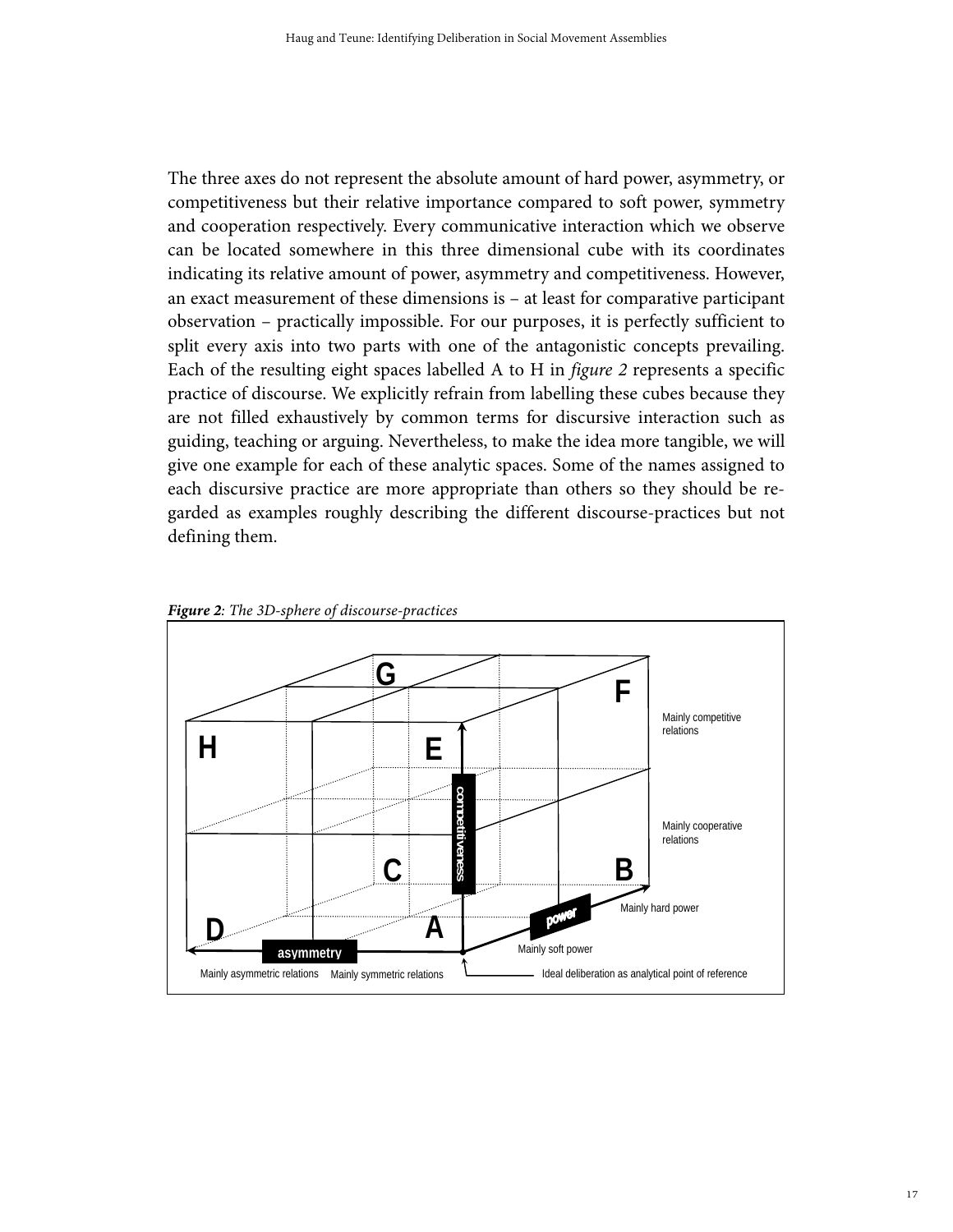The three axes do not represent the absolute amount of hard power, asymmetry, or competitiveness but their relative importance compared to soft power, symmetry and cooperation respectively. Every communicative interaction which we observe can be located somewhere in this three dimensional cube with its coordinates indicating its relative amount of power, asymmetry and competitiveness. However, an exact measurement of these dimensions is – at least for comparative participant observation – practically impossible. For our purposes, it is perfectly sufficient to split every axis into two parts with one of the antagonistic concepts prevailing. Each of the resulting eight spaces labelled A to H in figure 2 represents a specific practice of discourse. We explicitly refrain from labelling these cubes because they are not filled exhaustively by common terms for discursive interaction such as guiding, teaching or arguing. Nevertheless, to make the idea more tangible, we will give one example for each of these analytic spaces. Some of the names assigned to each discursive practice are more appropriate than others so they should be regarded as examples roughly describing the different discourse-practices but not defining them.



*Figure 2: The 3D-sphere of discourse-practices*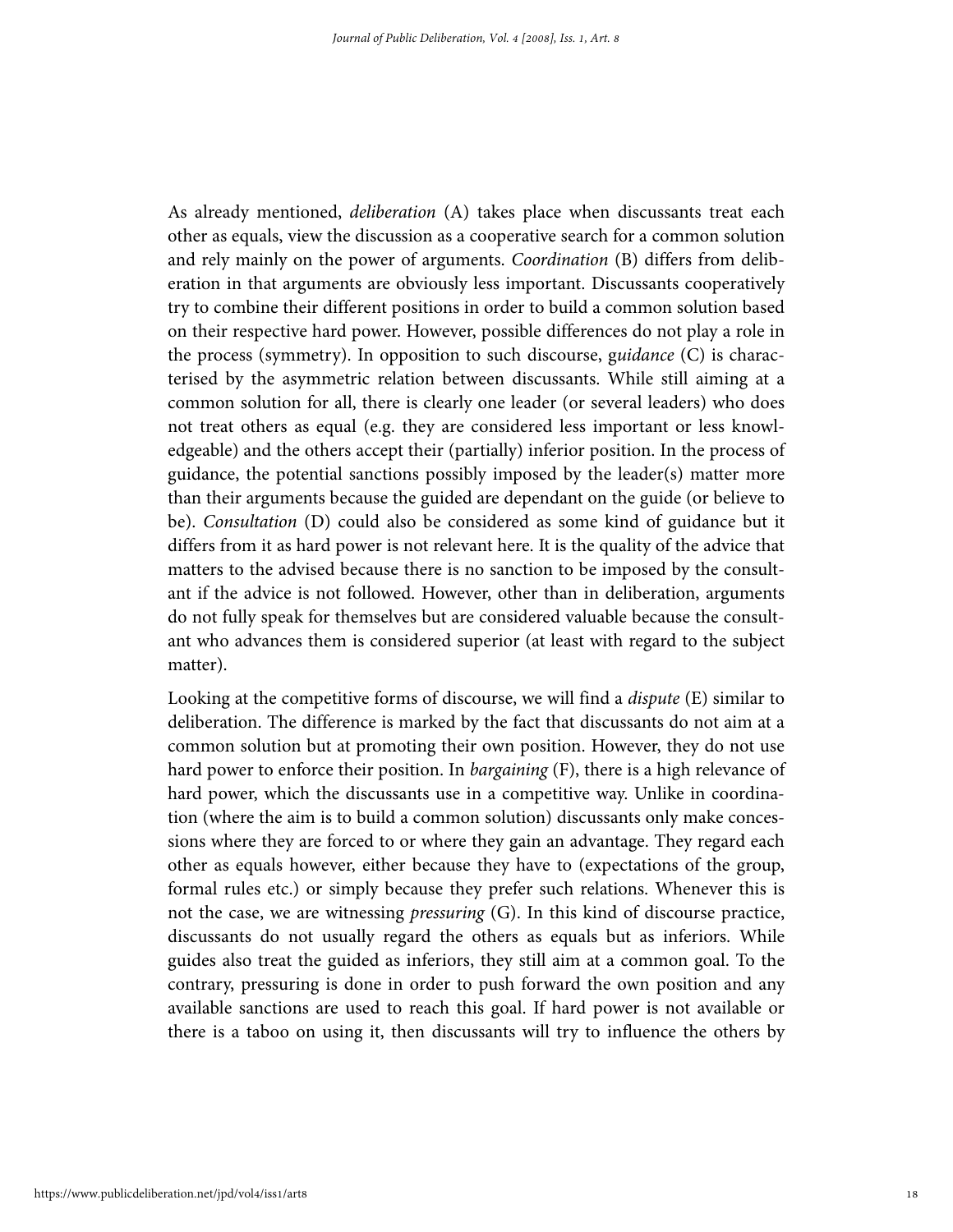As already mentioned, *deliberation* (A) takes place when discussants treat each other as equals, view the discussion as a cooperative search for a common solution and rely mainly on the power of arguments. Coordination (B) differs from deliberation in that arguments are obviously less important. Discussants cooperatively try to combine their different positions in order to build a common solution based on their respective hard power. However, possible differences do not play a role in the process (symmetry). In opposition to such discourse, guidance  $(C)$  is characterised by the asymmetric relation between discussants. While still aiming at a common solution for all, there is clearly one leader (or several leaders) who does not treat others as equal (e.g. they are considered less important or less knowledgeable) and the others accept their (partially) inferior position. In the process of guidance, the potential sanctions possibly imposed by the leader(s) matter more than their arguments because the guided are dependant on the guide (or believe to be). Consultation (D) could also be considered as some kind of guidance but it differs from it as hard power is not relevant here. It is the quality of the advice that matters to the advised because there is no sanction to be imposed by the consultant if the advice is not followed. However, other than in deliberation, arguments do not fully speak for themselves but are considered valuable because the consultant who advances them is considered superior (at least with regard to the subject matter).

Looking at the competitive forms of discourse, we will find a dispute (E) similar to deliberation. The difference is marked by the fact that discussants do not aim at a common solution but at promoting their own position. However, they do not use hard power to enforce their position. In *bargaining* (F), there is a high relevance of hard power, which the discussants use in a competitive way. Unlike in coordination (where the aim is to build a common solution) discussants only make concessions where they are forced to or where they gain an advantage. They regard each other as equals however, either because they have to (expectations of the group, formal rules etc.) or simply because they prefer such relations. Whenever this is not the case, we are witnessing *pressuring*  $(G)$ . In this kind of discourse practice, discussants do not usually regard the others as equals but as inferiors. While guides also treat the guided as inferiors, they still aim at a common goal. To the contrary, pressuring is done in order to push forward the own position and any available sanctions are used to reach this goal. If hard power is not available or there is a taboo on using it, then discussants will try to influence the others by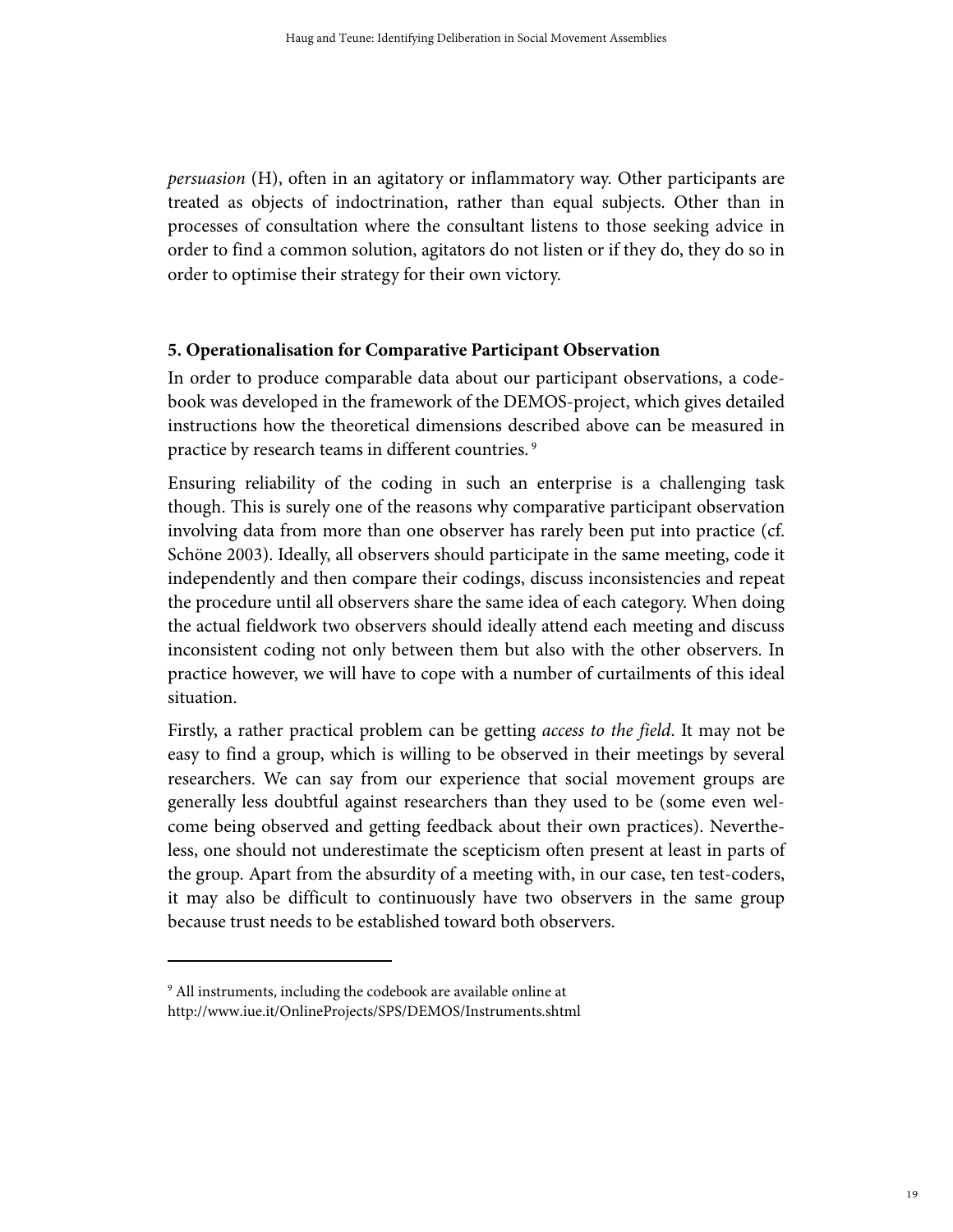persuasion (H), often in an agitatory or inflammatory way. Other participants are treated as objects of indoctrination, rather than equal subjects. Other than in processes of consultation where the consultant listens to those seeking advice in order to find a common solution, agitators do not listen or if they do, they do so in order to optimise their strategy for their own victory.

# **5. Operationalisation for Comparative Participant Observation**

In order to produce comparable data about our participant observations, a codebook was developed in the framework of the DEMOS-project, which gives detailed instructions how the theoretical dimensions described above can be measured in practice by research teams in different countries.<sup>9</sup>

Ensuring reliability of the coding in such an enterprise is a challenging task though. This is surely one of the reasons why comparative participant observation involving data from more than one observer has rarely been put into practice (cf. Schöne 2003). Ideally, all observers should participate in the same meeting, code it independently and then compare their codings, discuss inconsistencies and repeat the procedure until all observers share the same idea of each category. When doing the actual fieldwork two observers should ideally attend each meeting and discuss inconsistent coding not only between them but also with the other observers. In practice however, we will have to cope with a number of curtailments of this ideal situation.

Firstly, a rather practical problem can be getting access to the field. It may not be easy to find a group, which is willing to be observed in their meetings by several researchers. We can say from our experience that social movement groups are generally less doubtful against researchers than they used to be (some even welcome being observed and getting feedback about their own practices). Nevertheless, one should not underestimate the scepticism often present at least in parts of the group. Apart from the absurdity of a meeting with, in our case, ten test-coders, it may also be difficult to continuously have two observers in the same group because trust needs to be established toward both observers.

<sup>9</sup> All instruments, including the codebook are available online at http://www.iue.it/OnlineProjects/SPS/DEMOS/Instruments.shtml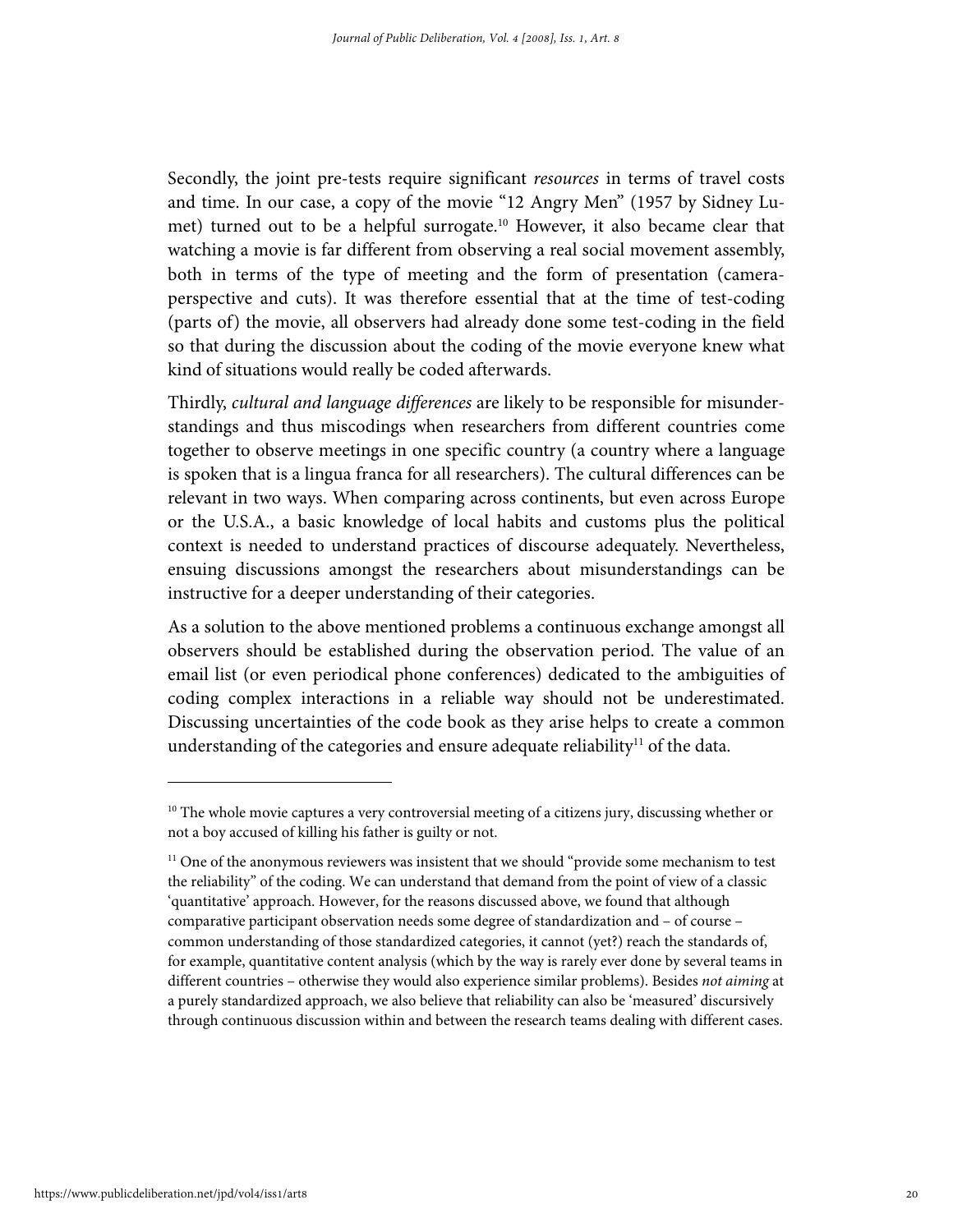Secondly, the joint pre-tests require significant resources in terms of travel costs and time. In our case, a copy of the movie "12 Angry Men" (1957 by Sidney Lumet) turned out to be a helpful surrogate.10 However, it also became clear that watching a movie is far different from observing a real social movement assembly, both in terms of the type of meeting and the form of presentation (cameraperspective and cuts). It was therefore essential that at the time of test-coding (parts of) the movie, all observers had already done some test-coding in the field so that during the discussion about the coding of the movie everyone knew what kind of situations would really be coded afterwards.

Thirdly, cultural and language differences are likely to be responsible for misunderstandings and thus miscodings when researchers from different countries come together to observe meetings in one specific country (a country where a language is spoken that is a lingua franca for all researchers). The cultural differences can be relevant in two ways. When comparing across continents, but even across Europe or the U.S.A., a basic knowledge of local habits and customs plus the political context is needed to understand practices of discourse adequately. Nevertheless, ensuing discussions amongst the researchers about misunderstandings can be instructive for a deeper understanding of their categories.

As a solution to the above mentioned problems a continuous exchange amongst all observers should be established during the observation period. The value of an email list (or even periodical phone conferences) dedicated to the ambiguities of coding complex interactions in a reliable way should not be underestimated. Discussing uncertainties of the code book as they arise helps to create a common understanding of the categories and ensure adequate reliability<sup>11</sup> of the data.

 $10$  The whole movie captures a very controversial meeting of a citizens jury, discussing whether or not a boy accused of killing his father is guilty or not.

 $11$  One of the anonymous reviewers was insistent that we should "provide some mechanism to test the reliability" of the coding. We can understand that demand from the point of view of a classic 'quantitative' approach. However, for the reasons discussed above, we found that although comparative participant observation needs some degree of standardization and – of course – common understanding of those standardized categories, it cannot (yet?) reach the standards of, for example, quantitative content analysis (which by the way is rarely ever done by several teams in different countries - otherwise they would also experience similar problems). Besides not aiming at a purely standardized approach, we also believe that reliability can also be 'measured' discursively through continuous discussion within and between the research teams dealing with different cases.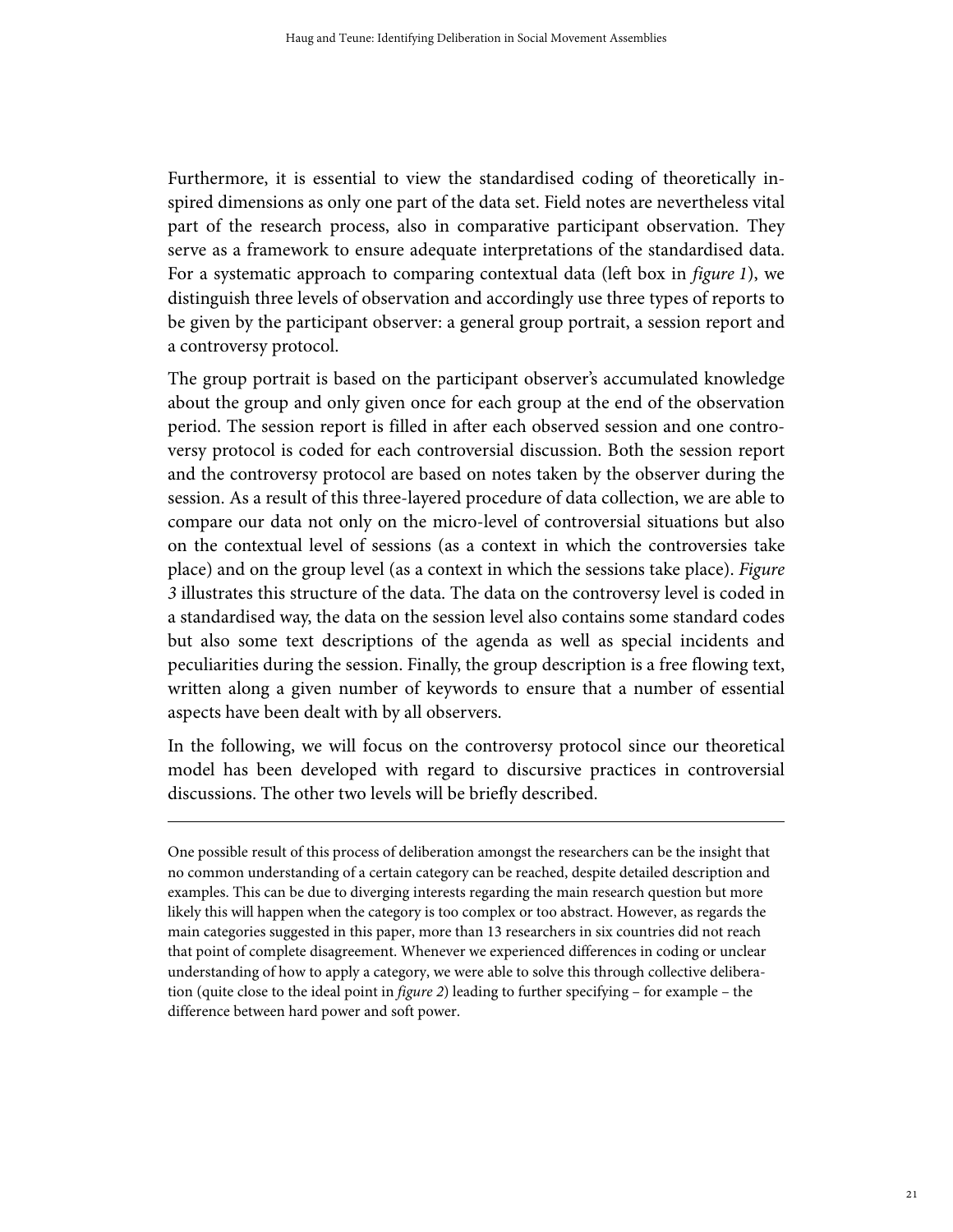Furthermore, it is essential to view the standardised coding of theoretically inspired dimensions as only one part of the data set. Field notes are nevertheless vital part of the research process, also in comparative participant observation. They serve as a framework to ensure adequate interpretations of the standardised data. For a systematic approach to comparing contextual data (left box in *figure 1*), we distinguish three levels of observation and accordingly use three types of reports to be given by the participant observer: a general group portrait, a session report and a controversy protocol.

The group portrait is based on the participant observer's accumulated knowledge about the group and only given once for each group at the end of the observation period. The session report is filled in after each observed session and one controversy protocol is coded for each controversial discussion. Both the session report and the controversy protocol are based on notes taken by the observer during the session. As a result of this three-layered procedure of data collection, we are able to compare our data not only on the micro-level of controversial situations but also on the contextual level of sessions (as a context in which the controversies take place) and on the group level (as a context in which the sessions take place). Figure 3 illustrates this structure of the data. The data on the controversy level is coded in a standardised way, the data on the session level also contains some standard codes but also some text descriptions of the agenda as well as special incidents and peculiarities during the session. Finally, the group description is a free flowing text, written along a given number of keywords to ensure that a number of essential aspects have been dealt with by all observers.

In the following, we will focus on the controversy protocol since our theoretical model has been developed with regard to discursive practices in controversial discussions. The other two levels will be briefly described.

 $\overline{a}$ 

One possible result of this process of deliberation amongst the researchers can be the insight that no common understanding of a certain category can be reached, despite detailed description and examples. This can be due to diverging interests regarding the main research question but more likely this will happen when the category is too complex or too abstract. However, as regards the main categories suggested in this paper, more than 13 researchers in six countries did not reach that point of complete disagreement. Whenever we experienced differences in coding or unclear understanding of how to apply a category, we were able to solve this through collective deliberation (quite close to the ideal point in *figure 2*) leading to further specifying – for example – the difference between hard power and soft power.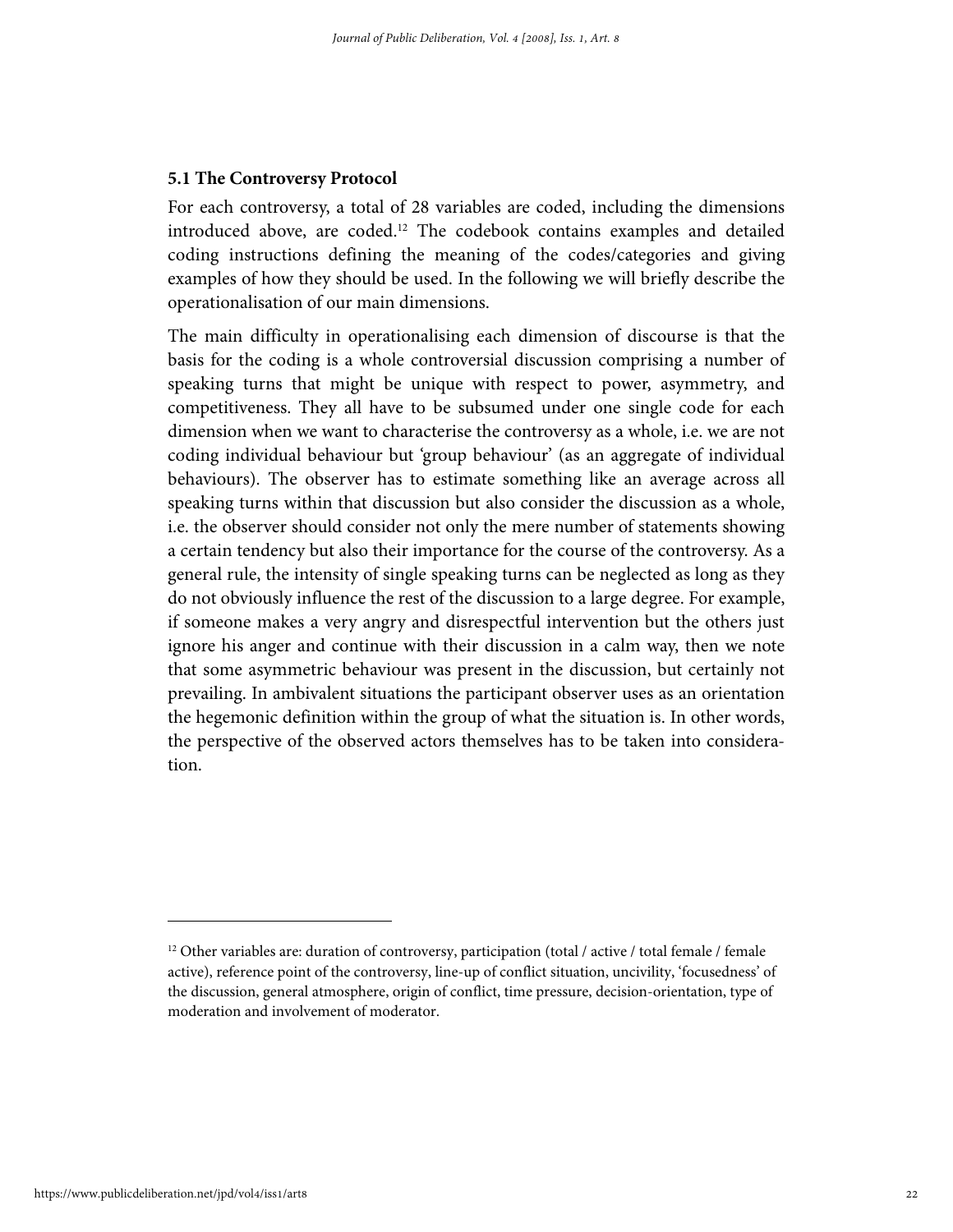#### **5.1 The Controversy Protocol**

For each controversy, a total of 28 variables are coded, including the dimensions introduced above, are coded.12 The codebook contains examples and detailed coding instructions defining the meaning of the codes/categories and giving examples of how they should be used. In the following we will briefly describe the operationalisation of our main dimensions.

The main difficulty in operationalising each dimension of discourse is that the basis for the coding is a whole controversial discussion comprising a number of speaking turns that might be unique with respect to power, asymmetry, and competitiveness. They all have to be subsumed under one single code for each dimension when we want to characterise the controversy as a whole, i.e. we are not coding individual behaviour but 'group behaviour' (as an aggregate of individual behaviours). The observer has to estimate something like an average across all speaking turns within that discussion but also consider the discussion as a whole, i.e. the observer should consider not only the mere number of statements showing a certain tendency but also their importance for the course of the controversy. As a general rule, the intensity of single speaking turns can be neglected as long as they do not obviously influence the rest of the discussion to a large degree. For example, if someone makes a very angry and disrespectful intervention but the others just ignore his anger and continue with their discussion in a calm way, then we note that some asymmetric behaviour was present in the discussion, but certainly not prevailing. In ambivalent situations the participant observer uses as an orientation the hegemonic definition within the group of what the situation is. In other words, the perspective of the observed actors themselves has to be taken into consideration.

 $12$  Other variables are: duration of controversy, participation (total / active / total female / female active), reference point of the controversy, line-up of conflict situation, uncivility, 'focusedness' of the discussion, general atmosphere, origin of conflict, time pressure, decision-orientation, type of moderation and involvement of moderator.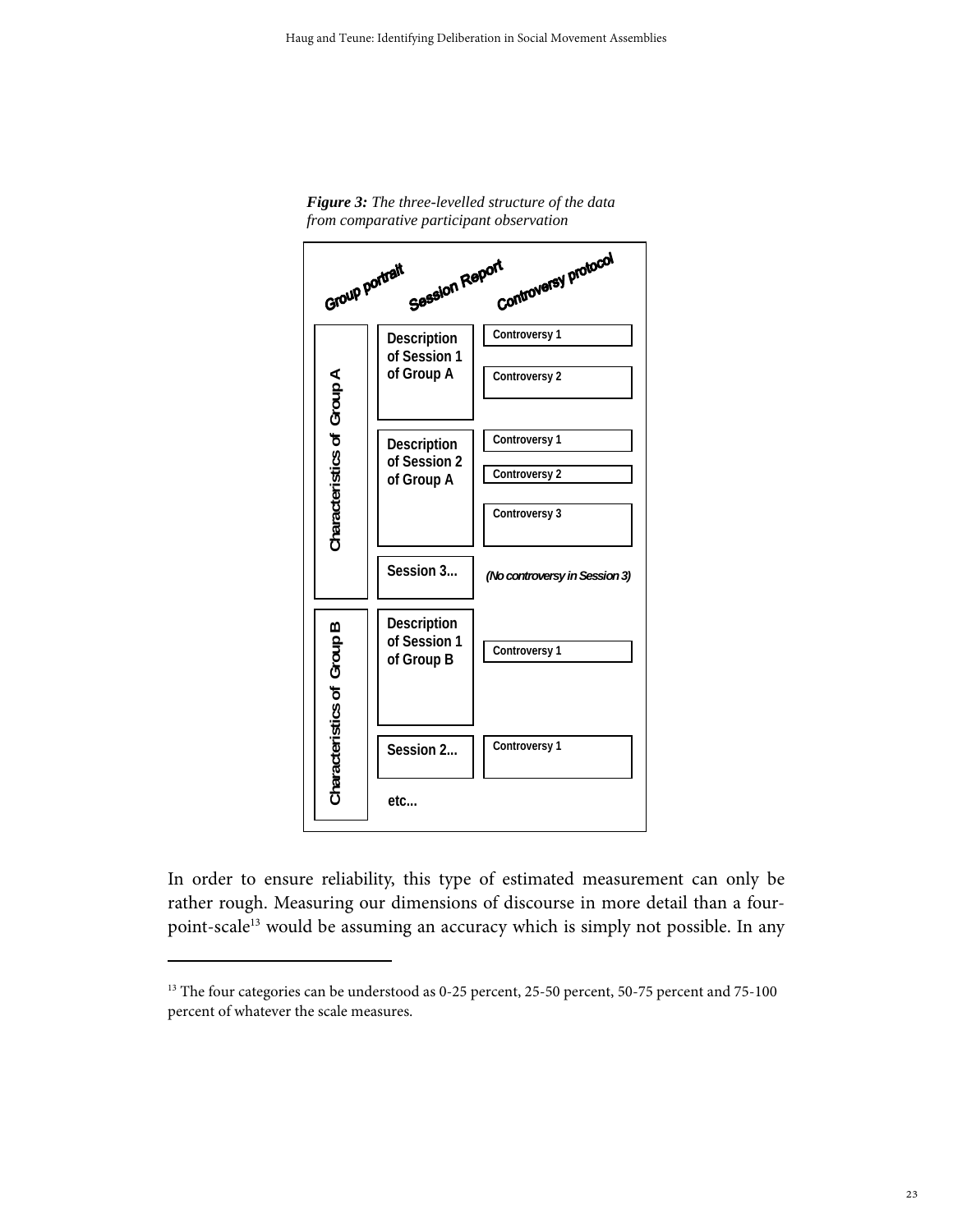



In order to ensure reliability, this type of estimated measurement can only be rather rough. Measuring our dimensions of discourse in more detail than a fourpoint-scale<sup>13</sup> would be assuming an accuracy which is simply not possible. In any

<sup>&</sup>lt;sup>13</sup> The four categories can be understood as 0-25 percent, 25-50 percent, 50-75 percent and 75-100 percent of whatever the scale measures.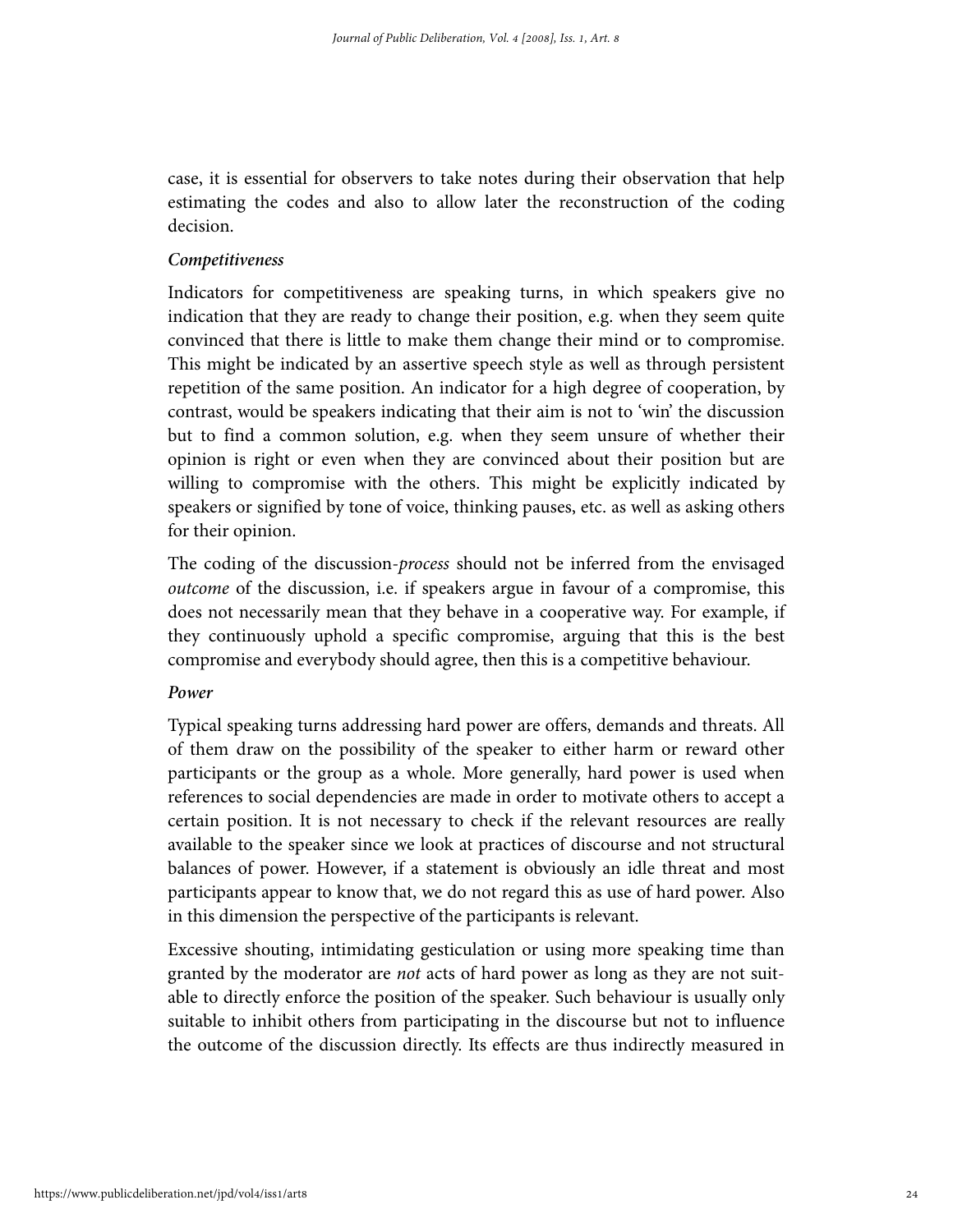case, it is essential for observers to take notes during their observation that help estimating the codes and also to allow later the reconstruction of the coding decision.

#### *Competitiveness*

Indicators for competitiveness are speaking turns, in which speakers give no indication that they are ready to change their position, e.g. when they seem quite convinced that there is little to make them change their mind or to compromise. This might be indicated by an assertive speech style as well as through persistent repetition of the same position. An indicator for a high degree of cooperation, by contrast, would be speakers indicating that their aim is not to 'win' the discussion but to find a common solution, e.g. when they seem unsure of whether their opinion is right or even when they are convinced about their position but are willing to compromise with the others. This might be explicitly indicated by speakers or signified by tone of voice, thinking pauses, etc. as well as asking others for their opinion.

The coding of the discussion-*process* should not be inferred from the envisaged outcome of the discussion, i.e. if speakers argue in favour of a compromise, this does not necessarily mean that they behave in a cooperative way. For example, if they continuously uphold a specific compromise, arguing that this is the best compromise and everybody should agree, then this is a competitive behaviour.

#### *Power*

Typical speaking turns addressing hard power are offers, demands and threats. All of them draw on the possibility of the speaker to either harm or reward other participants or the group as a whole. More generally, hard power is used when references to social dependencies are made in order to motivate others to accept a certain position. It is not necessary to check if the relevant resources are really available to the speaker since we look at practices of discourse and not structural balances of power. However, if a statement is obviously an idle threat and most participants appear to know that, we do not regard this as use of hard power. Also in this dimension the perspective of the participants is relevant.

Excessive shouting, intimidating gesticulation or using more speaking time than granted by the moderator are not acts of hard power as long as they are not suitable to directly enforce the position of the speaker. Such behaviour is usually only suitable to inhibit others from participating in the discourse but not to influence the outcome of the discussion directly. Its effects are thus indirectly measured in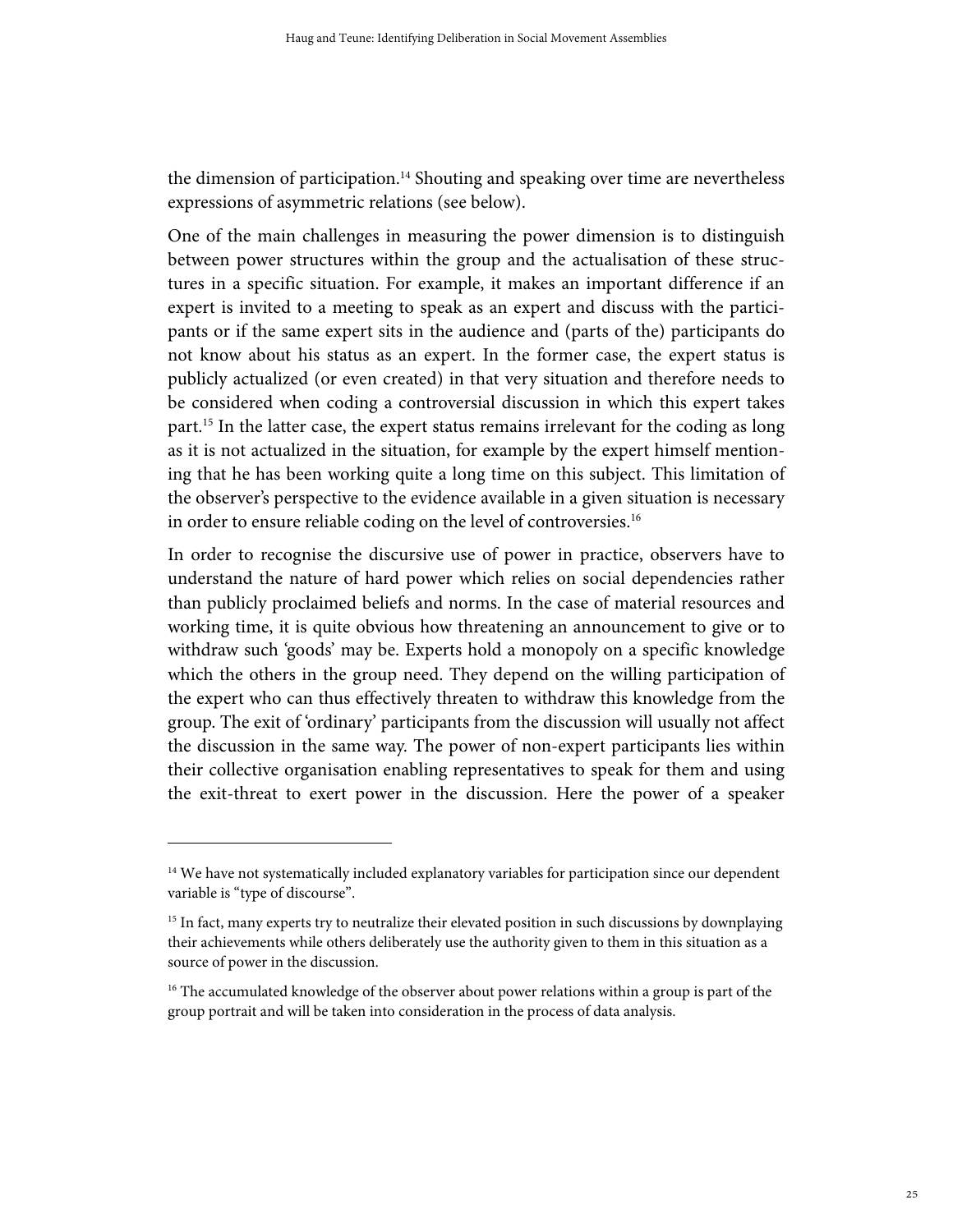the dimension of participation.<sup>14</sup> Shouting and speaking over time are nevertheless expressions of asymmetric relations (see below).

One of the main challenges in measuring the power dimension is to distinguish between power structures within the group and the actualisation of these structures in a specific situation. For example, it makes an important difference if an expert is invited to a meeting to speak as an expert and discuss with the participants or if the same expert sits in the audience and (parts of the) participants do not know about his status as an expert. In the former case, the expert status is publicly actualized (or even created) in that very situation and therefore needs to be considered when coding a controversial discussion in which this expert takes part.<sup>15</sup> In the latter case, the expert status remains irrelevant for the coding as long as it is not actualized in the situation, for example by the expert himself mentioning that he has been working quite a long time on this subject. This limitation of the observer's perspective to the evidence available in a given situation is necessary in order to ensure reliable coding on the level of controversies.<sup>16</sup>

In order to recognise the discursive use of power in practice, observers have to understand the nature of hard power which relies on social dependencies rather than publicly proclaimed beliefs and norms. In the case of material resources and working time, it is quite obvious how threatening an announcement to give or to withdraw such 'goods' may be. Experts hold a monopoly on a specific knowledge which the others in the group need. They depend on the willing participation of the expert who can thus effectively threaten to withdraw this knowledge from the group. The exit of 'ordinary' participants from the discussion will usually not affect the discussion in the same way. The power of non-expert participants lies within their collective organisation enabling representatives to speak for them and using the exit-threat to exert power in the discussion. Here the power of a speaker

<sup>&</sup>lt;sup>14</sup> We have not systematically included explanatory variables for participation since our dependent variable is "type of discourse".

<sup>&</sup>lt;sup>15</sup> In fact, many experts try to neutralize their elevated position in such discussions by downplaying their achievements while others deliberately use the authority given to them in this situation as a source of power in the discussion.

<sup>&</sup>lt;sup>16</sup> The accumulated knowledge of the observer about power relations within a group is part of the group portrait and will be taken into consideration in the process of data analysis.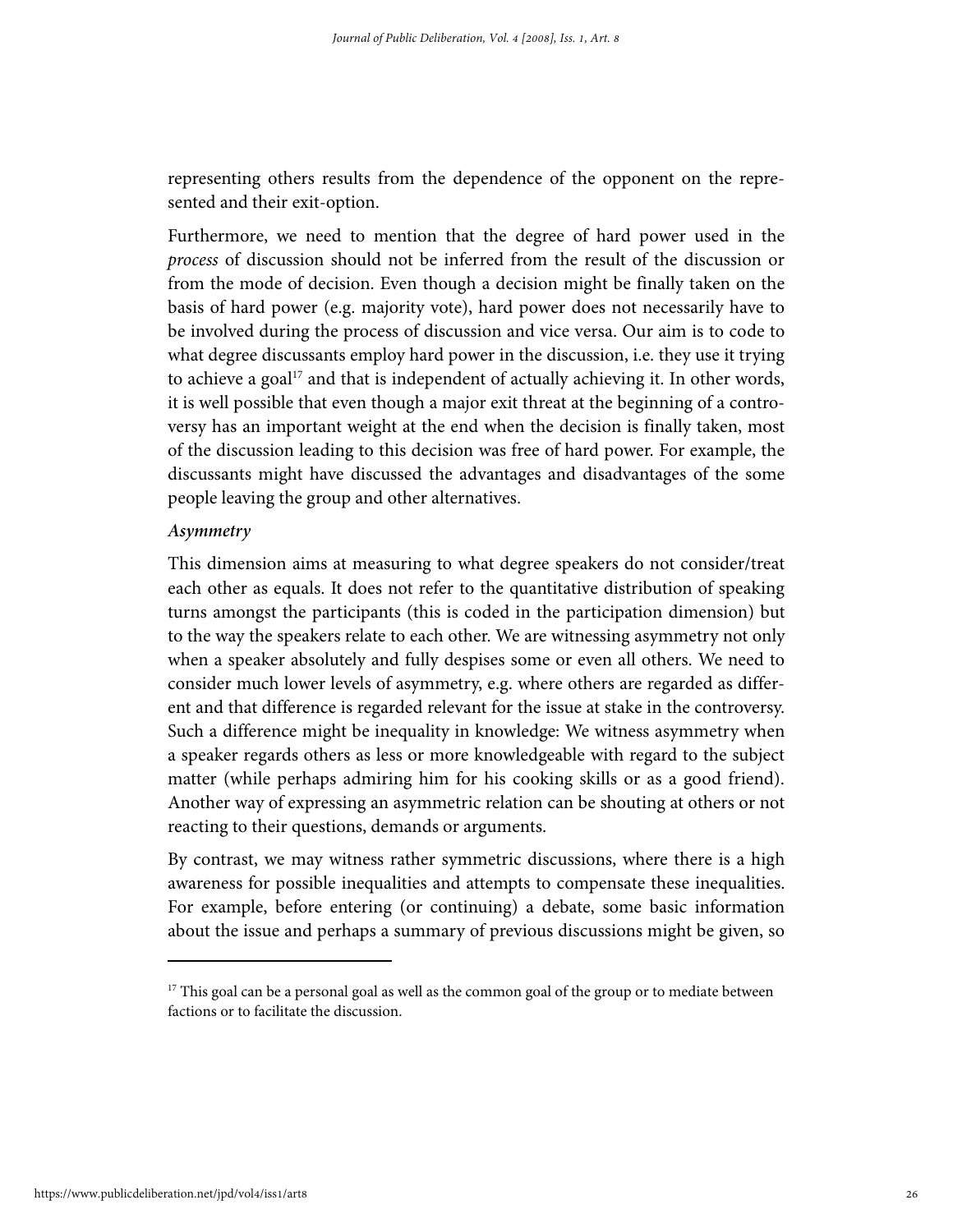representing others results from the dependence of the opponent on the represented and their exit-option.

Furthermore, we need to mention that the degree of hard power used in the process of discussion should not be inferred from the result of the discussion or from the mode of decision. Even though a decision might be finally taken on the basis of hard power (e.g. majority vote), hard power does not necessarily have to be involved during the process of discussion and vice versa. Our aim is to code to what degree discussants employ hard power in the discussion, i.e. they use it trying to achieve a goal $17$  and that is independent of actually achieving it. In other words, it is well possible that even though a major exit threat at the beginning of a controversy has an important weight at the end when the decision is finally taken, most of the discussion leading to this decision was free of hard power. For example, the discussants might have discussed the advantages and disadvantages of the some people leaving the group and other alternatives.

# *Asymmetry*

This dimension aims at measuring to what degree speakers do not consider/treat each other as equals. It does not refer to the quantitative distribution of speaking turns amongst the participants (this is coded in the participation dimension) but to the way the speakers relate to each other. We are witnessing asymmetry not only when a speaker absolutely and fully despises some or even all others. We need to consider much lower levels of asymmetry, e.g. where others are regarded as different and that difference is regarded relevant for the issue at stake in the controversy. Such a difference might be inequality in knowledge: We witness asymmetry when a speaker regards others as less or more knowledgeable with regard to the subject matter (while perhaps admiring him for his cooking skills or as a good friend). Another way of expressing an asymmetric relation can be shouting at others or not reacting to their questions, demands or arguments.

By contrast, we may witness rather symmetric discussions, where there is a high awareness for possible inequalities and attempts to compensate these inequalities. For example, before entering (or continuing) a debate, some basic information about the issue and perhaps a summary of previous discussions might be given, so

<sup>&</sup>lt;sup>17</sup> This goal can be a personal goal as well as the common goal of the group or to mediate between factions or to facilitate the discussion.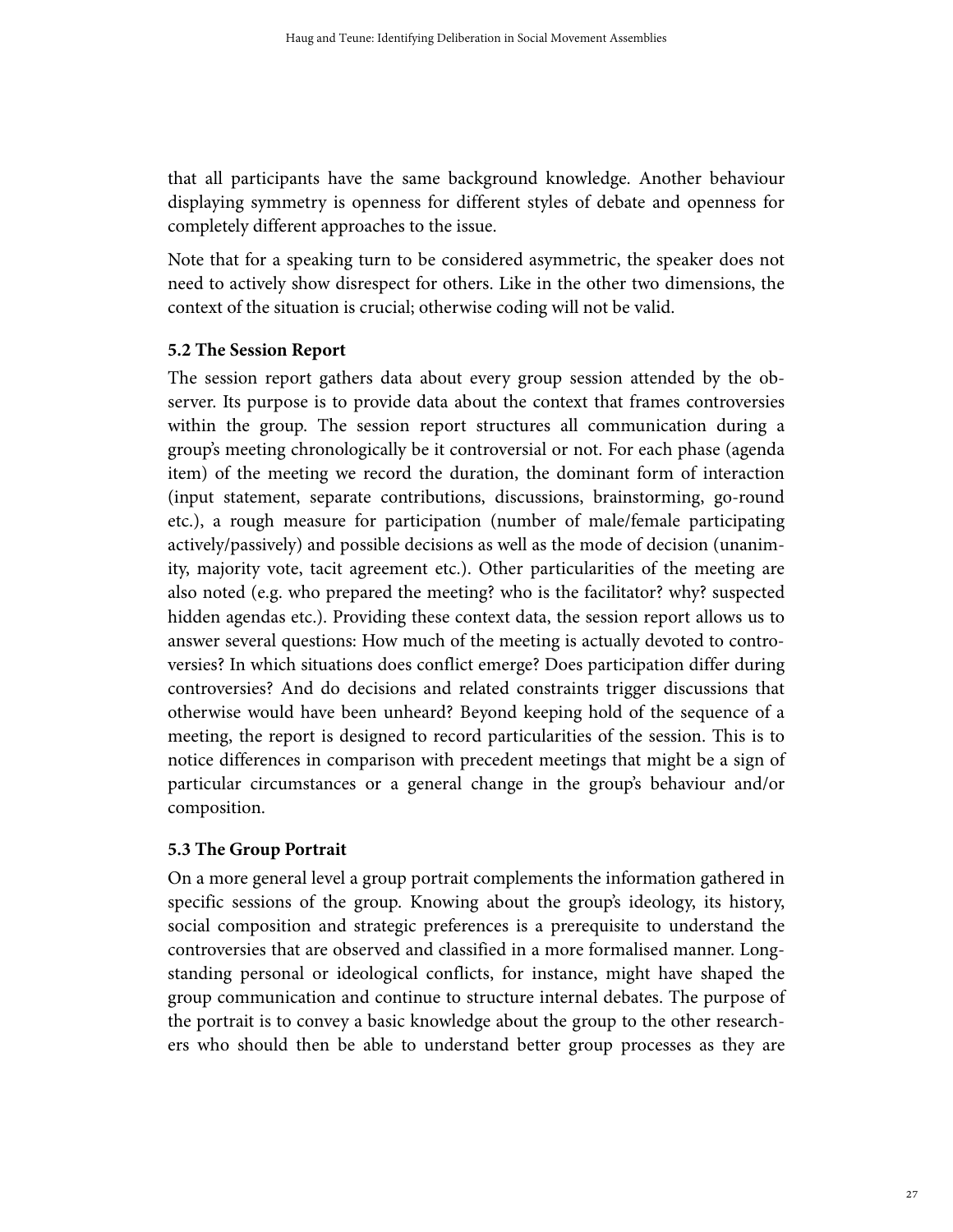that all participants have the same background knowledge. Another behaviour displaying symmetry is openness for different styles of debate and openness for completely different approaches to the issue.

Note that for a speaking turn to be considered asymmetric, the speaker does not need to actively show disrespect for others. Like in the other two dimensions, the context of the situation is crucial; otherwise coding will not be valid.

# **5.2 The Session Report**

The session report gathers data about every group session attended by the observer. Its purpose is to provide data about the context that frames controversies within the group. The session report structures all communication during a group's meeting chronologically be it controversial or not. For each phase (agenda item) of the meeting we record the duration, the dominant form of interaction (input statement, separate contributions, discussions, brainstorming, go-round etc.), a rough measure for participation (number of male/female participating actively/passively) and possible decisions as well as the mode of decision (unanimity, majority vote, tacit agreement etc.). Other particularities of the meeting are also noted (e.g. who prepared the meeting? who is the facilitator? why? suspected hidden agendas etc.). Providing these context data, the session report allows us to answer several questions: How much of the meeting is actually devoted to controversies? In which situations does conflict emerge? Does participation differ during controversies? And do decisions and related constraints trigger discussions that otherwise would have been unheard? Beyond keeping hold of the sequence of a meeting, the report is designed to record particularities of the session. This is to notice differences in comparison with precedent meetings that might be a sign of particular circumstances or a general change in the group's behaviour and/or composition.

# **5.3 The Group Portrait**

On a more general level a group portrait complements the information gathered in specific sessions of the group. Knowing about the group's ideology, its history, social composition and strategic preferences is a prerequisite to understand the controversies that are observed and classified in a more formalised manner. Longstanding personal or ideological conflicts, for instance, might have shaped the group communication and continue to structure internal debates. The purpose of the portrait is to convey a basic knowledge about the group to the other researchers who should then be able to understand better group processes as they are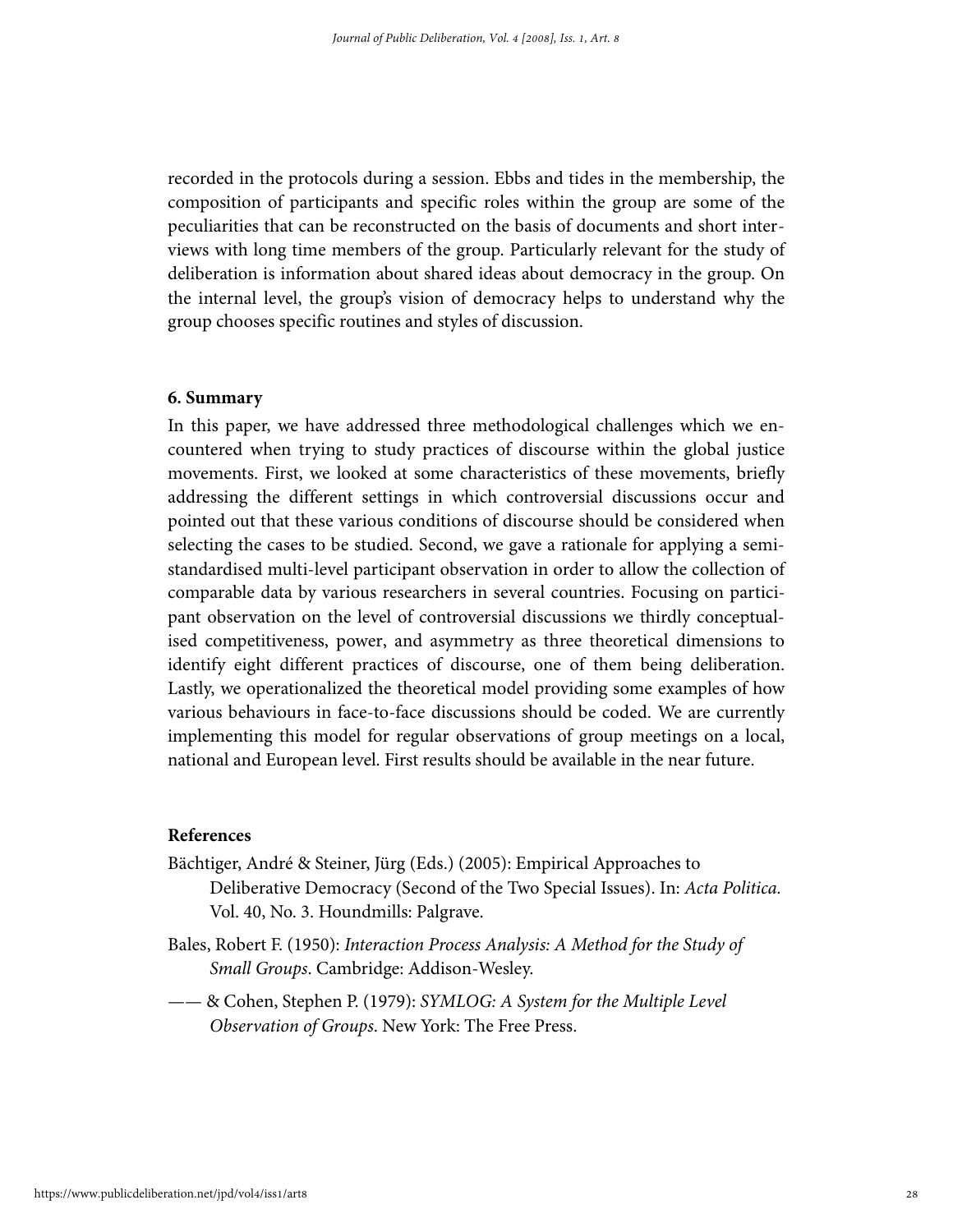recorded in the protocols during a session. Ebbs and tides in the membership, the composition of participants and specific roles within the group are some of the peculiarities that can be reconstructed on the basis of documents and short interviews with long time members of the group. Particularly relevant for the study of deliberation is information about shared ideas about democracy in the group. On the internal level, the group's vision of democracy helps to understand why the group chooses specific routines and styles of discussion.

#### **6. Summary**

In this paper, we have addressed three methodological challenges which we encountered when trying to study practices of discourse within the global justice movements. First, we looked at some characteristics of these movements, briefly addressing the different settings in which controversial discussions occur and pointed out that these various conditions of discourse should be considered when selecting the cases to be studied. Second, we gave a rationale for applying a semistandardised multi-level participant observation in order to allow the collection of comparable data by various researchers in several countries. Focusing on participant observation on the level of controversial discussions we thirdly conceptualised competitiveness, power, and asymmetry as three theoretical dimensions to identify eight different practices of discourse, one of them being deliberation. Lastly, we operationalized the theoretical model providing some examples of how various behaviours in face-to-face discussions should be coded. We are currently implementing this model for regular observations of group meetings on a local, national and European level. First results should be available in the near future.

#### **References**

- Bächtiger, André & Steiner, Jürg (Eds.) (2005): Empirical Approaches to Deliberative Democracy (Second of the Two Special Issues). In: Acta Politica. Vol. 40, No. 3. Houndmills: Palgrave.
- Bales, Robert F. (1950): Interaction Process Analysis: A Method for the Study of Small Groups. Cambridge: Addison-Wesley.
- —— & Cohen, Stephen P. (1979): SYMLOG: A System for the Multiple Level Observation of Groups. New York: The Free Press.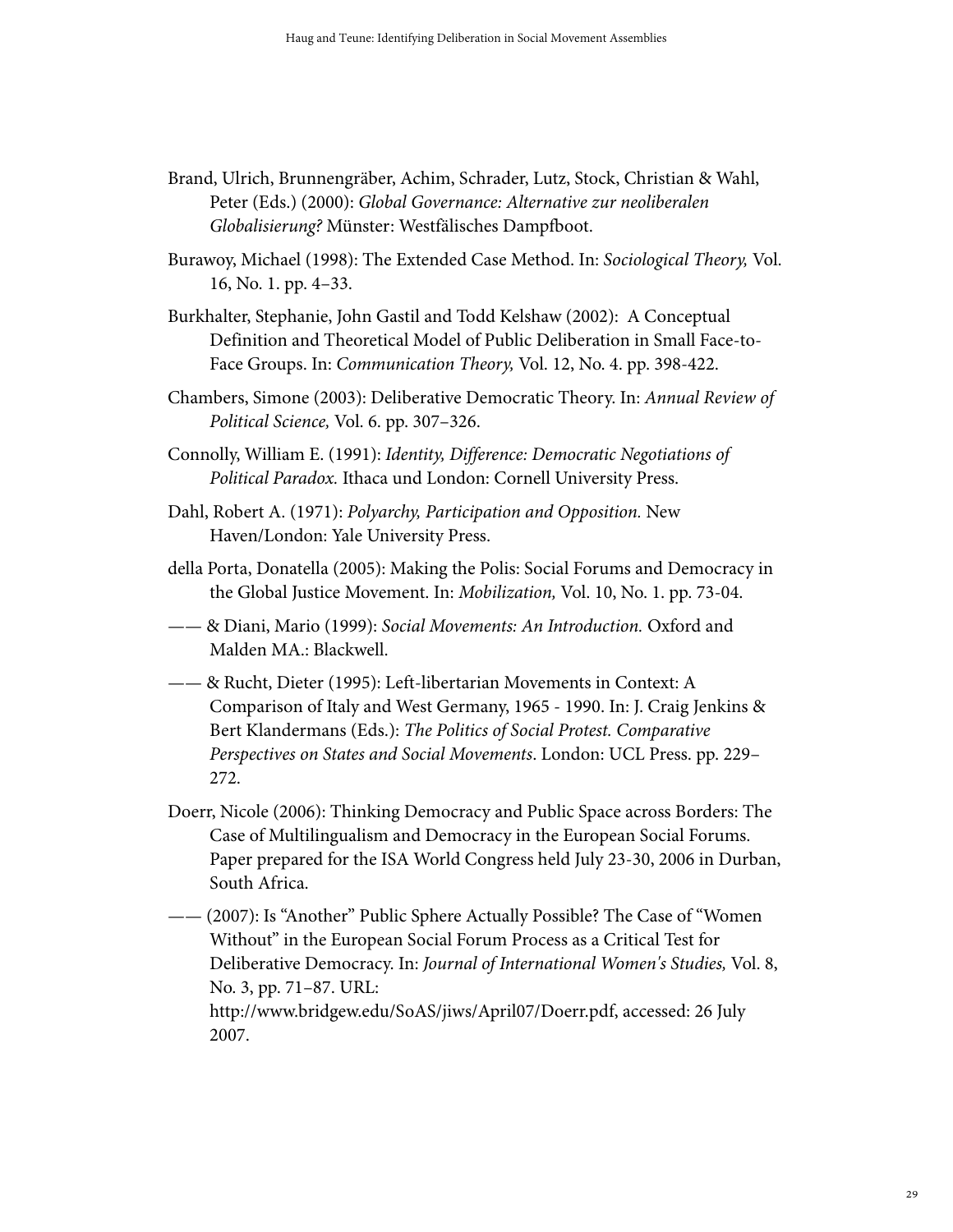- Brand, Ulrich, Brunnengräber, Achim, Schrader, Lutz, Stock, Christian & Wahl, Peter (Eds.) (2000): Global Governance: Alternative zur neoliberalen Globalisierung? Münster: Westfälisches Dampfboot.
- Burawoy, Michael (1998): The Extended Case Method. In: Sociological Theory, Vol. 16, No. 1. pp. 4–33.
- Burkhalter, Stephanie, John Gastil and Todd Kelshaw (2002): A Conceptual Definition and Theoretical Model of Public Deliberation in Small Face-to-Face Groups. In: Communication Theory, Vol. 12, No. 4. pp. 398-422.
- Chambers, Simone (2003): Deliberative Democratic Theory. In: Annual Review of Political Science, Vol. 6. pp. 307–326.
- Connolly, William E. (1991): Identity, Difference: Democratic Negotiations of Political Paradox. Ithaca und London: Cornell University Press.
- Dahl, Robert A. (1971): Polyarchy, Participation and Opposition. New Haven/London: Yale University Press.
- della Porta, Donatella (2005): Making the Polis: Social Forums and Democracy in the Global Justice Movement. In: Mobilization, Vol. 10, No. 1. pp. 73-04.
- —— & Diani, Mario (1999): Social Movements: An Introduction. Oxford and Malden MA.: Blackwell.
- —— & Rucht, Dieter (1995): Left-libertarian Movements in Context: A Comparison of Italy and West Germany, 1965 - 1990. In: J. Craig Jenkins & Bert Klandermans (Eds.): The Politics of Social Protest. Comparative Perspectives on States and Social Movements. London: UCL Press. pp. 229– 272.
- Doerr, Nicole (2006): Thinking Democracy and Public Space across Borders: The Case of Multilingualism and Democracy in the European Social Forums. Paper prepared for the ISA World Congress held July 23-30, 2006 in Durban, South Africa.
- (2007): Is "Another" Public Sphere Actually Possible? The Case of "Women" Without" in the European Social Forum Process as a Critical Test for Deliberative Democracy. In: Journal of International Women's Studies, Vol. 8, No. 3, pp. 71–87. URL: http://www.bridgew.edu/SoAS/jiws/April07/Doerr.pdf, accessed: 26 July 2007.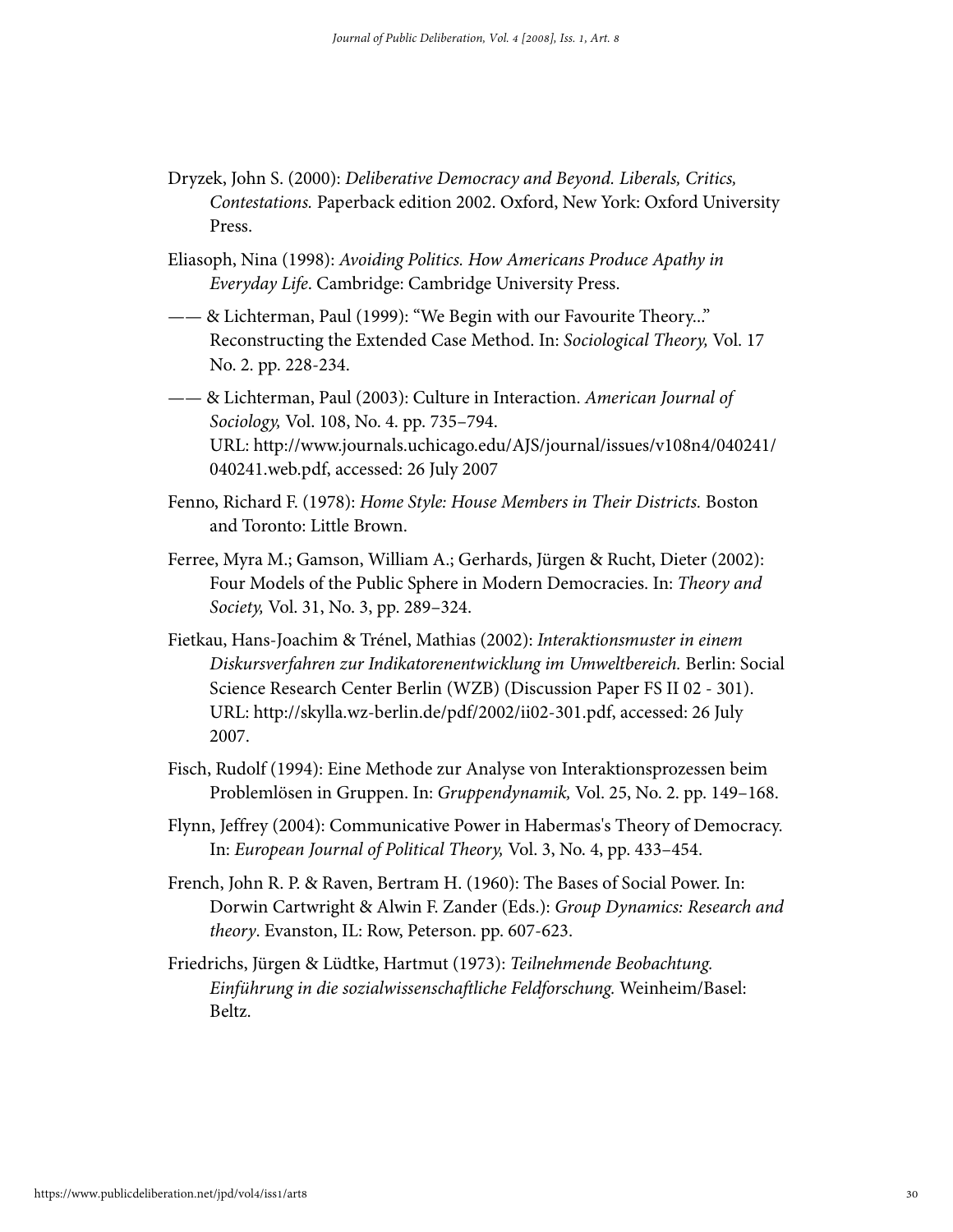- Dryzek, John S. (2000): Deliberative Democracy and Beyond. Liberals, Critics, Contestations. Paperback edition 2002. Oxford, New York: Oxford University Press.
- Eliasoph, Nina (1998): Avoiding Politics. How Americans Produce Apathy in Everyday Life. Cambridge: Cambridge University Press.
- —— & Lichterman, Paul (1999): "We Begin with our Favourite Theory..." Reconstructing the Extended Case Method. In: Sociological Theory, Vol. 17 No. 2. pp. 228-234.
- —— & Lichterman, Paul (2003): Culture in Interaction. American Journal of Sociology, Vol. 108, No. 4. pp. 735–794. URL: http://www.journals.uchicago.edu/AJS/journal/issues/v108n4/040241/ 040241.web.pdf, accessed: 26 July 2007
- Fenno, Richard F. (1978): Home Style: House Members in Their Districts. Boston and Toronto: Little Brown.
- Ferree, Myra M.; Gamson, William A.; Gerhards, Jürgen & Rucht, Dieter (2002): Four Models of the Public Sphere in Modern Democracies. In: Theory and Society, Vol. 31, No. 3, pp. 289–324.
- Fietkau, Hans-Joachim & Trénel, Mathias (2002): Interaktionsmuster in einem Diskursverfahren zur Indikatorenentwicklung im Umweltbereich. Berlin: Social Science Research Center Berlin (WZB) (Discussion Paper FS II 02 - 301). URL: http://skylla.wz-berlin.de/pdf/2002/ii02-301.pdf, accessed: 26 July 2007.
- Fisch, Rudolf (1994): Eine Methode zur Analyse von Interaktionsprozessen beim Problemlösen in Gruppen. In: Gruppendynamik, Vol. 25, No. 2. pp. 149–168.
- Flynn, Jeffrey (2004): Communicative Power in Habermas's Theory of Democracy. In: European Journal of Political Theory, Vol. 3, No. 4, pp. 433–454.
- French, John R. P. & Raven, Bertram H. (1960): The Bases of Social Power. In: Dorwin Cartwright & Alwin F. Zander (Eds.): Group Dynamics: Research and theory. Evanston, IL: Row, Peterson. pp. 607-623.
- Friedrichs, Jürgen & Lüdtke, Hartmut (1973): Teilnehmende Beobachtung. Einführung in die sozialwissenschaftliche Feldforschung. Weinheim/Basel: Beltz.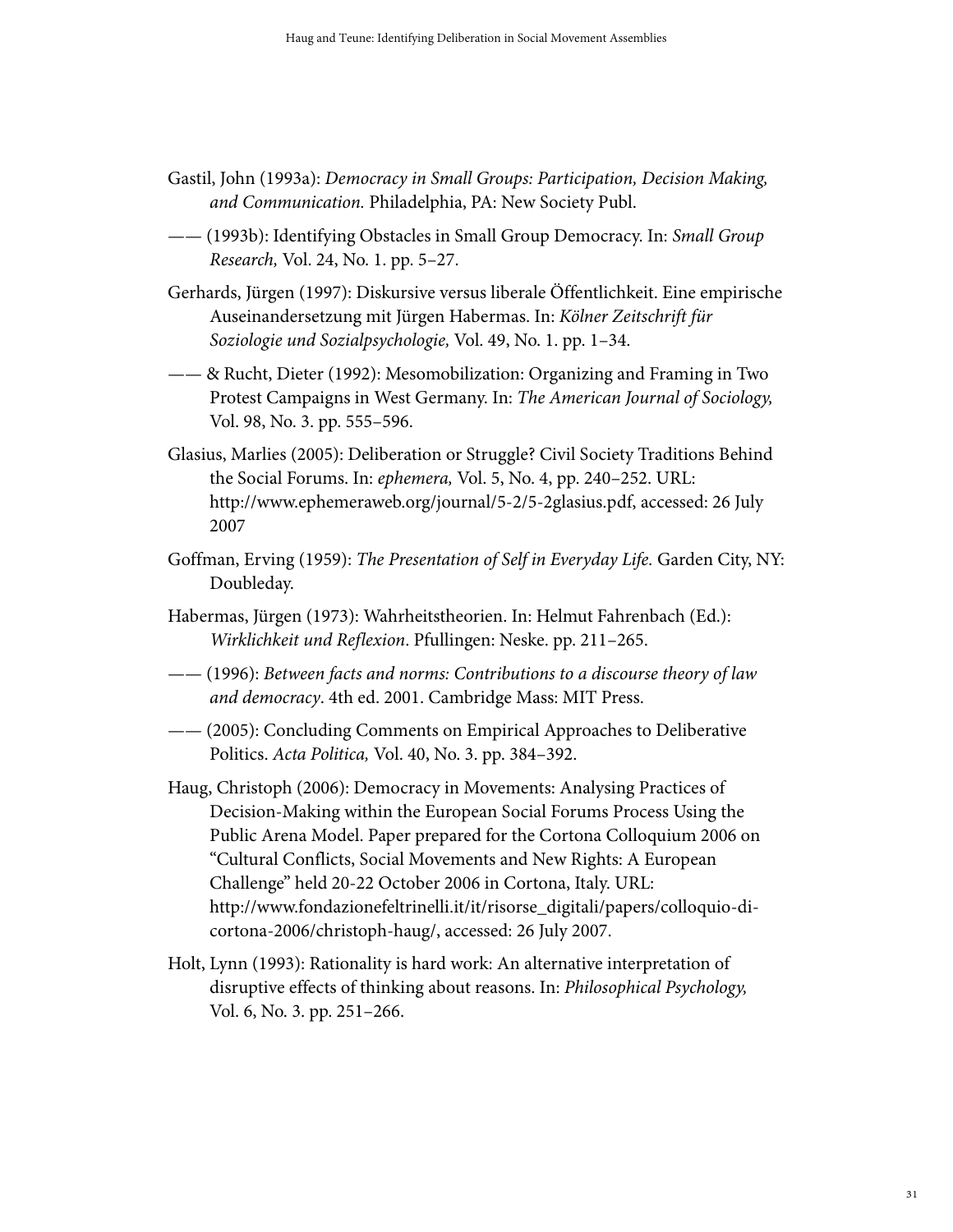- Gastil, John (1993a): Democracy in Small Groups: Participation, Decision Making, and Communication. Philadelphia, PA: New Society Publ.
- —— (1993b): Identifying Obstacles in Small Group Democracy. In: Small Group Research, Vol. 24, No. 1. pp. 5–27.
- Gerhards, Jürgen (1997): Diskursive versus liberale Öffentlichkeit. Eine empirische Auseinandersetzung mit Jürgen Habermas. In: Kölner Zeitschrift für Soziologie und Sozialpsychologie, Vol. 49, No. 1. pp. 1–34.
- —— & Rucht, Dieter (1992): Mesomobilization: Organizing and Framing in Two Protest Campaigns in West Germany. In: The American Journal of Sociology, Vol. 98, No. 3. pp. 555–596.
- Glasius, Marlies (2005): Deliberation or Struggle? Civil Society Traditions Behind the Social Forums. In: ephemera, Vol. 5, No. 4, pp. 240–252. URL: http://www.ephemeraweb.org/journal/5-2/5-2glasius.pdf, accessed: 26 July 2007
- Goffman, Erving (1959): The Presentation of Self in Everyday Life. Garden City, NY: Doubleday.
- Habermas, Jürgen (1973): Wahrheitstheorien. In: Helmut Fahrenbach (Ed.): Wirklichkeit und Reflexion. Pfullingen: Neske. pp. 211–265.
- —— (1996): Between facts and norms: Contributions to a discourse theory of law and democracy. 4th ed. 2001. Cambridge Mass: MIT Press.
- —— (2005): Concluding Comments on Empirical Approaches to Deliberative Politics. Acta Politica, Vol. 40, No. 3. pp. 384–392.
- Haug, Christoph (2006): Democracy in Movements: Analysing Practices of Decision-Making within the European Social Forums Process Using the Public Arena Model. Paper prepared for the Cortona Colloquium 2006 on "Cultural Conflicts, Social Movements and New Rights: A European Challenge" held 20-22 October 2006 in Cortona, Italy. URL: http://www.fondazionefeltrinelli.it/it/risorse\_digitali/papers/colloquio-dicortona-2006/christoph-haug/, accessed: 26 July 2007.
- Holt, Lynn (1993): Rationality is hard work: An alternative interpretation of disruptive effects of thinking about reasons. In: Philosophical Psychology, Vol. 6, No. 3. pp. 251–266.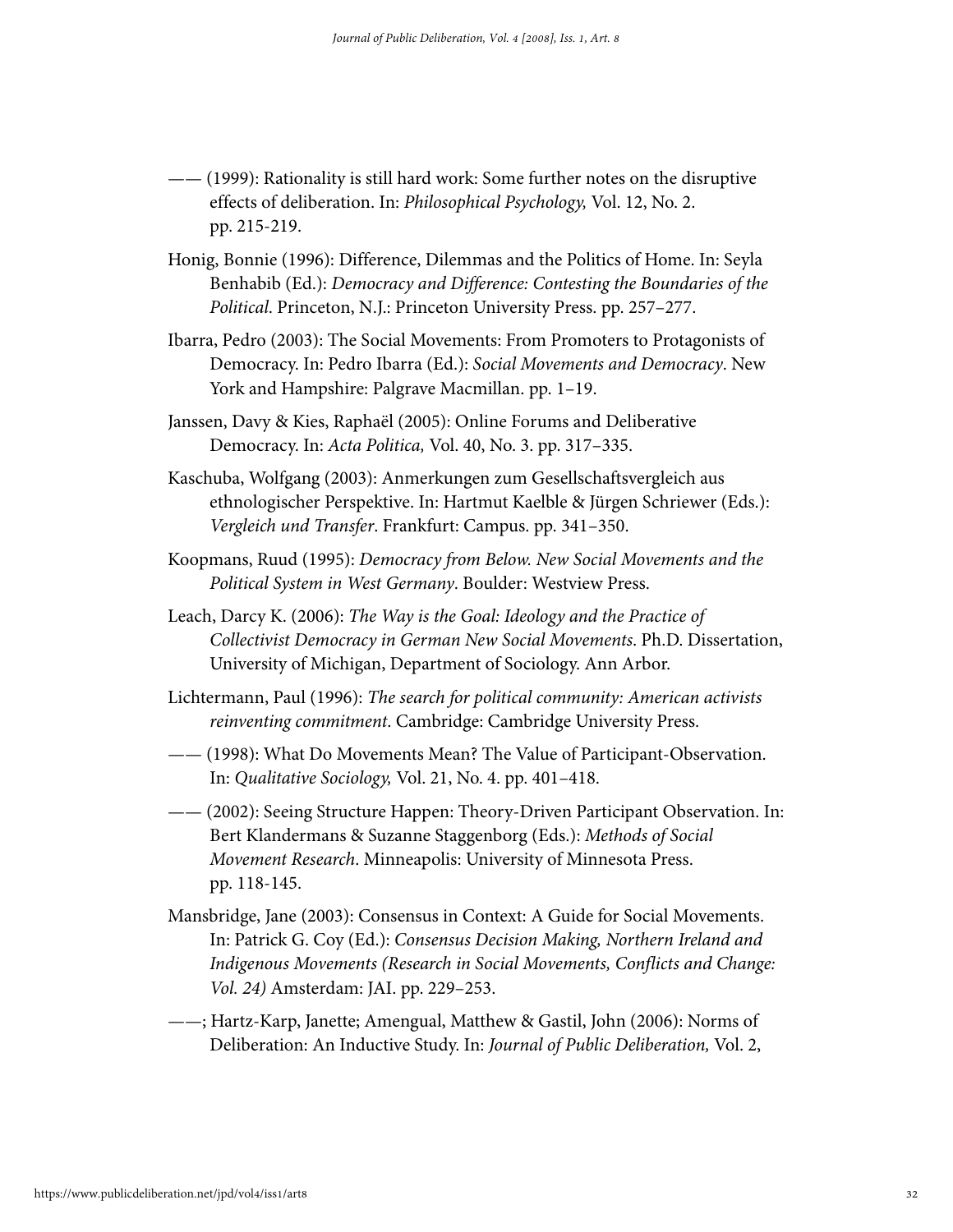- —— (1999): Rationality is still hard work: Some further notes on the disruptive effects of deliberation. In: Philosophical Psychology, Vol. 12, No. 2. pp. 215-219.
- Honig, Bonnie (1996): Difference, Dilemmas and the Politics of Home. In: Seyla Benhabib (Ed.): Democracy and Difference: Contesting the Boundaries of the Political. Princeton, N.J.: Princeton University Press. pp. 257–277.
- Ibarra, Pedro (2003): The Social Movements: From Promoters to Protagonists of Democracy. In: Pedro Ibarra (Ed.): Social Movements and Democracy. New York and Hampshire: Palgrave Macmillan. pp. 1–19.
- Janssen, Davy & Kies, Raphaël (2005): Online Forums and Deliberative Democracy. In: Acta Politica, Vol. 40, No. 3. pp. 317–335.
- Kaschuba, Wolfgang (2003): Anmerkungen zum Gesellschaftsvergleich aus ethnologischer Perspektive. In: Hartmut Kaelble & Jürgen Schriewer (Eds.): Vergleich und Transfer. Frankfurt: Campus. pp. 341–350.
- Koopmans, Ruud (1995): Democracy from Below. New Social Movements and the Political System in West Germany. Boulder: Westview Press.
- Leach, Darcy K. (2006): The Way is the Goal: Ideology and the Practice of Collectivist Democracy in German New Social Movements. Ph.D. Dissertation, University of Michigan, Department of Sociology. Ann Arbor.
- Lichtermann, Paul (1996): The search for political community: American activists reinventing commitment. Cambridge: Cambridge University Press.
- —— (1998): What Do Movements Mean? The Value of Participant-Observation. In: Qualitative Sociology, Vol. 21, No. 4. pp. 401–418.
- —— (2002): Seeing Structure Happen: Theory-Driven Participant Observation. In: Bert Klandermans & Suzanne Staggenborg (Eds.): Methods of Social Movement Research. Minneapolis: University of Minnesota Press. pp. 118-145.
- Mansbridge, Jane (2003): Consensus in Context: A Guide for Social Movements. In: Patrick G. Coy (Ed.): Consensus Decision Making, Northern Ireland and Indigenous Movements (Research in Social Movements, Conflicts and Change: Vol. 24) Amsterdam: JAI. pp. 229–253.
- ——; Hartz-Karp, Janette; Amengual, Matthew & Gastil, John (2006): Norms of Deliberation: An Inductive Study. In: Journal of Public Deliberation, Vol. 2,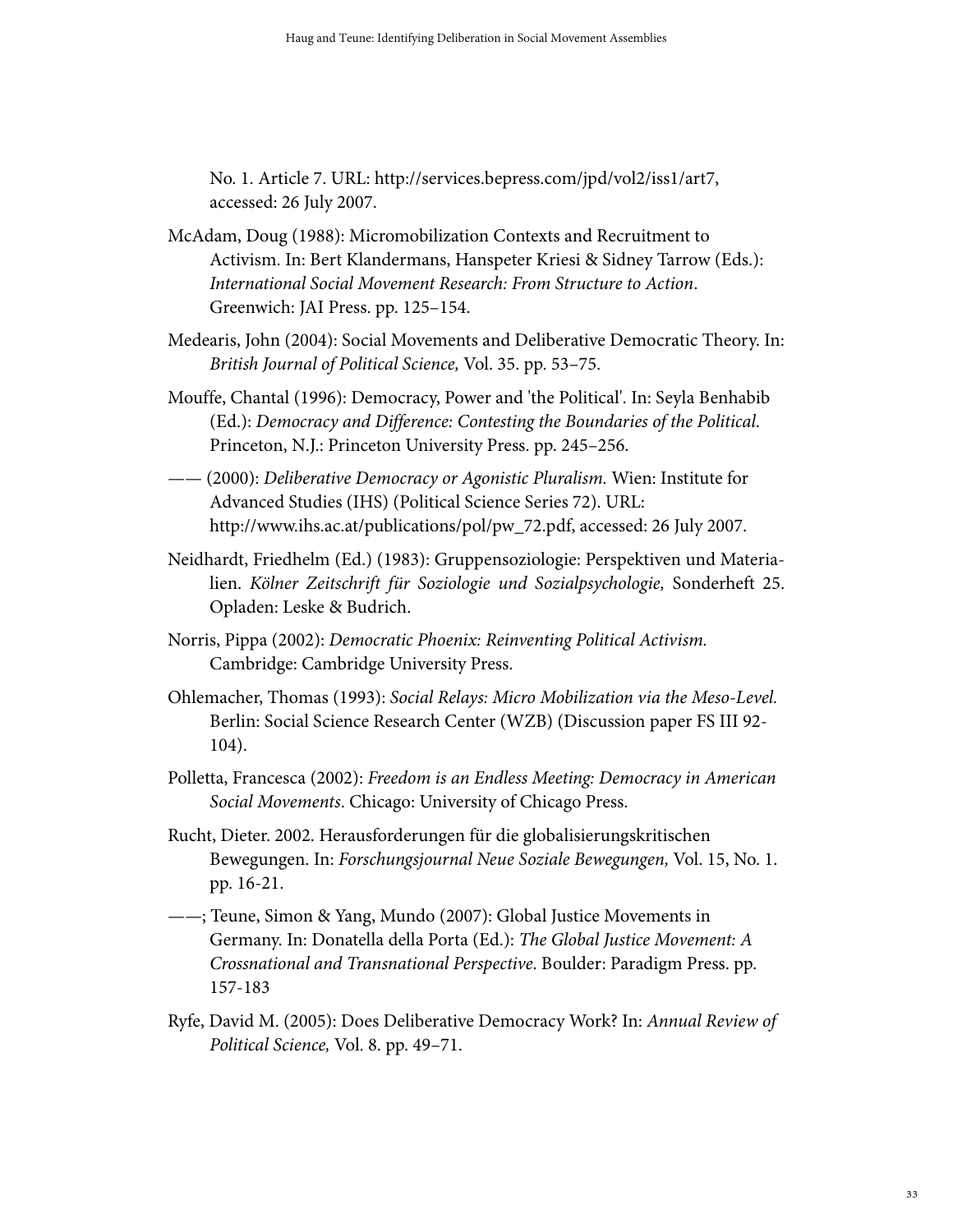No. 1. Article 7. URL: http://services.bepress.com/jpd/vol2/iss1/art7, accessed: 26 July 2007.

- McAdam, Doug (1988): Micromobilization Contexts and Recruitment to Activism. In: Bert Klandermans, Hanspeter Kriesi & Sidney Tarrow (Eds.): International Social Movement Research: From Structure to Action. Greenwich: JAI Press. pp. 125–154.
- Medearis, John (2004): Social Movements and Deliberative Democratic Theory. In: British Journal of Political Science, Vol. 35. pp. 53–75.
- Mouffe, Chantal (1996): Democracy, Power and 'the Political'. In: Seyla Benhabib (Ed.): Democracy and Difference: Contesting the Boundaries of the Political. Princeton, N.J.: Princeton University Press. pp. 245–256.
- —— (2000): Deliberative Democracy or Agonistic Pluralism. Wien: Institute for Advanced Studies (IHS) (Political Science Series 72). URL: http://www.ihs.ac.at/publications/pol/pw\_72.pdf, accessed: 26 July 2007.
- Neidhardt, Friedhelm (Ed.) (1983): Gruppensoziologie: Perspektiven und Materialien. Kölner Zeitschrift für Soziologie und Sozialpsychologie, Sonderheft 25. Opladen: Leske & Budrich.
- Norris, Pippa (2002): Democratic Phoenix: Reinventing Political Activism. Cambridge: Cambridge University Press.
- Ohlemacher, Thomas (1993): Social Relays: Micro Mobilization via the Meso-Level. Berlin: Social Science Research Center (WZB) (Discussion paper FS III 92- 104).
- Polletta, Francesca (2002): Freedom is an Endless Meeting: Democracy in American Social Movements. Chicago: University of Chicago Press.
- Rucht, Dieter. 2002. Herausforderungen für die globalisierungskritischen Bewegungen. In: Forschungsjournal Neue Soziale Bewegungen, Vol. 15, No. 1. pp. 16-21.
- ——; Teune, Simon & Yang, Mundo (2007): Global Justice Movements in Germany. In: Donatella della Porta (Ed.): The Global Justice Movement: A Crossnational and Transnational Perspective. Boulder: Paradigm Press. pp. 157-183
- Ryfe, David M. (2005): Does Deliberative Democracy Work? In: Annual Review of Political Science, Vol. 8. pp. 49–71.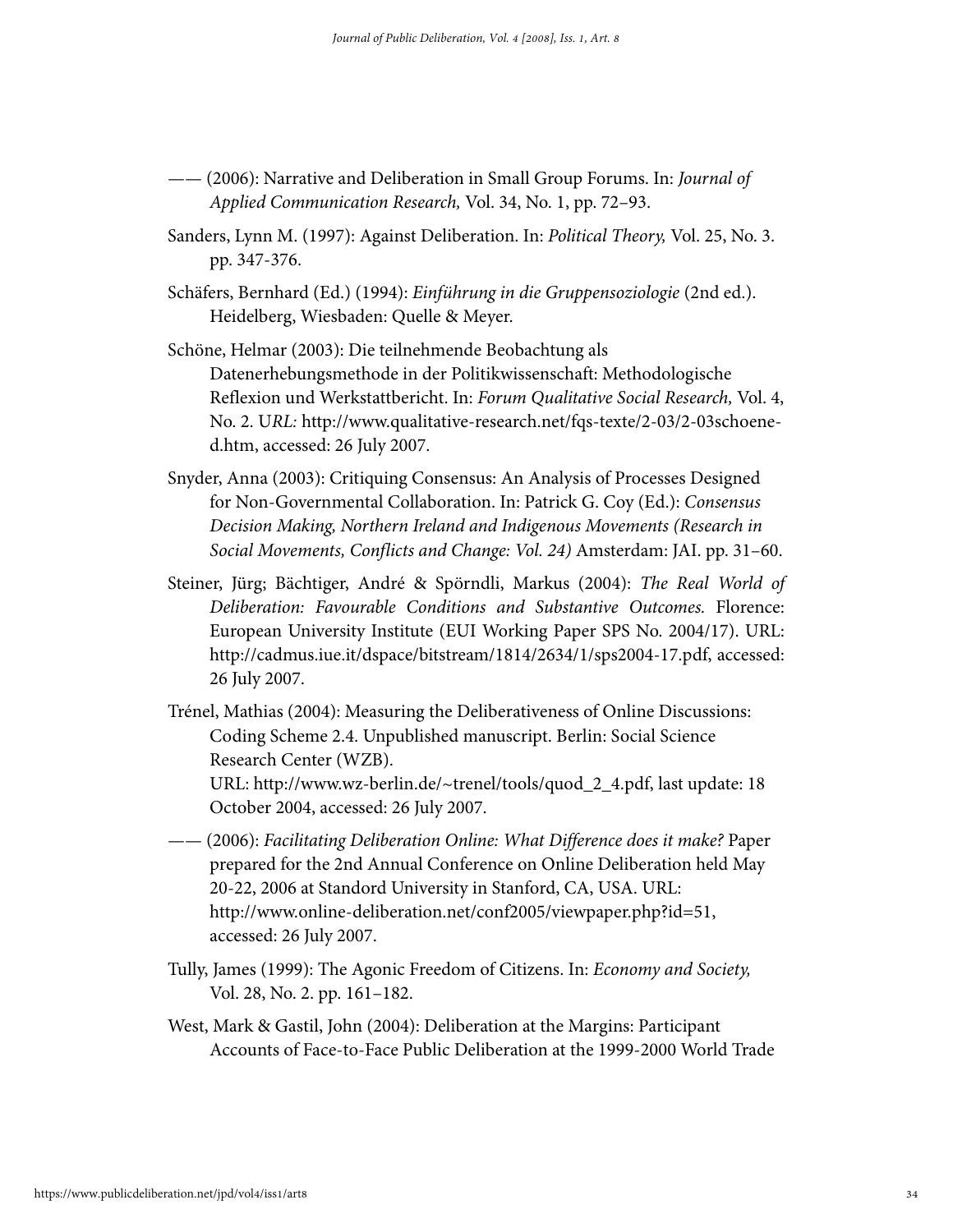- —— (2006): Narrative and Deliberation in Small Group Forums. In: *Journal of* Applied Communication Research, Vol. 34, No. 1, pp. 72–93.
- Sanders, Lynn M. (1997): Against Deliberation. In: Political Theory, Vol. 25, No. 3. pp. 347-376.
- Schäfers, Bernhard (Ed.) (1994): Einführung in die Gruppensoziologie (2nd ed.). Heidelberg, Wiesbaden: Quelle & Meyer.
- Schöne, Helmar (2003): Die teilnehmende Beobachtung als Datenerhebungsmethode in der Politikwissenschaft: Methodologische Reflexion und Werkstattbericht. In: Forum Qualitative Social Research, Vol. 4, No. 2. URL: http://www.qualitative-research.net/fqs-texte/2-03/2-03schoened.htm, accessed: 26 July 2007.
- Snyder, Anna (2003): Critiquing Consensus: An Analysis of Processes Designed for Non-Governmental Collaboration. In: Patrick G. Coy (Ed.): Consensus Decision Making, Northern Ireland and Indigenous Movements (Research in Social Movements, Conflicts and Change: Vol. 24) Amsterdam: JAI. pp. 31–60.
- Steiner, Jürg; Bächtiger, André & Spörndli, Markus (2004): The Real World of Deliberation: Favourable Conditions and Substantive Outcomes. Florence: European University Institute (EUI Working Paper SPS No. 2004/17). URL: http://cadmus.iue.it/dspace/bitstream/1814/2634/1/sps2004-17.pdf, accessed: 26 July 2007.
- Trénel, Mathias (2004): Measuring the Deliberativeness of Online Discussions: Coding Scheme 2.4. Unpublished manuscript. Berlin: Social Science Research Center (WZB). URL: http://www.wz-berlin.de/~trenel/tools/quod\_2\_4.pdf, last update: 18 October 2004, accessed: 26 July 2007.
- —— (2006): Facilitating Deliberation Online: What Difference does it make? Paper prepared for the 2nd Annual Conference on Online Deliberation held May 20-22, 2006 at Standord University in Stanford, CA, USA. URL: http://www.online-deliberation.net/conf2005/viewpaper.php?id=51, accessed: 26 July 2007.
- Tully, James (1999): The Agonic Freedom of Citizens. In: Economy and Society, Vol. 28, No. 2. pp. 161–182.
- West, Mark & Gastil, John (2004): Deliberation at the Margins: Participant Accounts of Face-to-Face Public Deliberation at the 1999-2000 World Trade